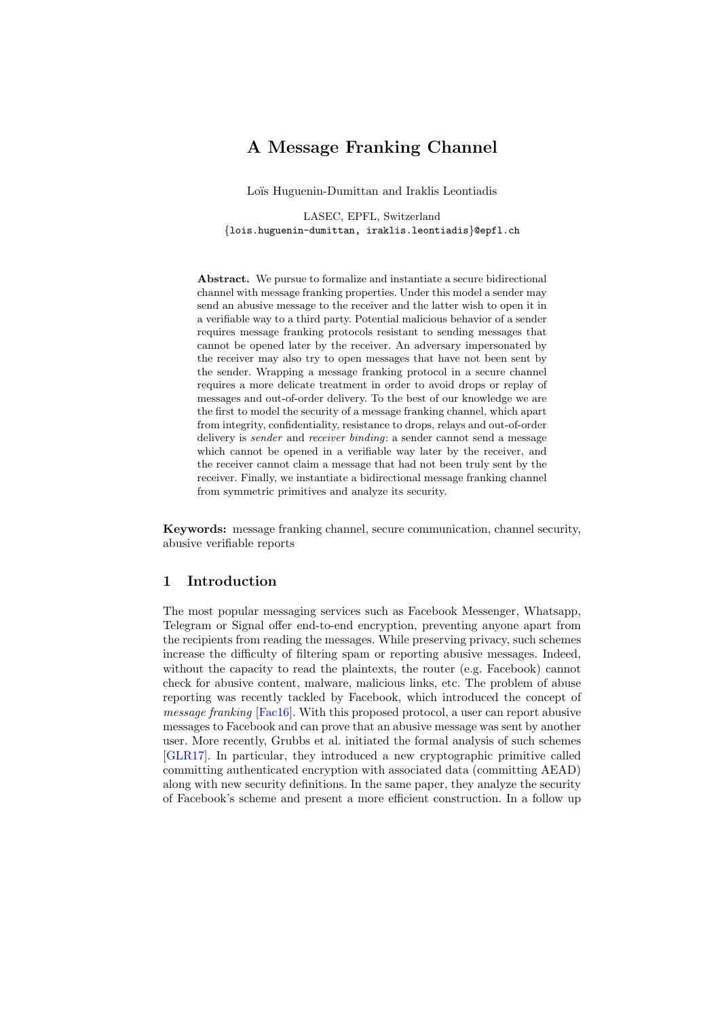# A Message Franking Channel

Loïs Huguenin-Dumittan and Iraklis Leontiadis

LASEC, EPFL, Switzerland {lois.huguenin-dumittan, iraklis.leontiadis}@epfl.ch

Abstract. We pursue to formalize and instantiate a secure bidirectional channel with message franking properties. Under this model a sender may send an abusive message to the receiver and the latter wish to open it in a verifiable way to a third party. Potential malicious behavior of a sender requires message franking protocols resistant to sending messages that cannot be opened later by the receiver. An adversary impersonated by the receiver may also try to open messages that have not been sent by the sender. Wrapping a message franking protocol in a secure channel requires a more delicate treatment in order to avoid drops or replay of messages and out-of-order delivery. To the best of our knowledge we are the first to model the security of a message franking channel, which apart from integrity, confidentiality, resistance to drops, relays and out-of-order delivery is sender and receiver binding: a sender cannot send a message which cannot be opened in a verifiable way later by the receiver, and the receiver cannot claim a message that had not been truly sent by the receiver. Finally, we instantiate a bidirectional message franking channel from symmetric primitives and analyze its security.

Keywords: message franking channel, secure communication, channel security, abusive verifiable reports

## 1 Introduction

The most popular messaging services such as Facebook Messenger, Whatsapp, Telegram or Signal offer end-to-end encryption, preventing anyone apart from the recipients from reading the messages. While preserving privacy, such schemes increase the difficulty of filtering spam or reporting abusive messages. Indeed, without the capacity to read the plaintexts, the router (e.g. Facebook) cannot check for abusive content, malware, malicious links, etc. The problem of abuse reporting was recently tackled by Facebook, which introduced the concept of message franking [\[Fac16\]](#page-29-0). With this proposed protocol, a user can report abusive messages to Facebook and can prove that an abusive message was sent by another user. More recently, Grubbs et al. initiated the formal analysis of such schemes [\[GLR17\]](#page-29-1). In particular, they introduced a new cryptographic primitive called committing authenticated encryption with associated data (committing AEAD) along with new security definitions. In the same paper, they analyze the security of Facebook's scheme and present a more efficient construction. In a follow up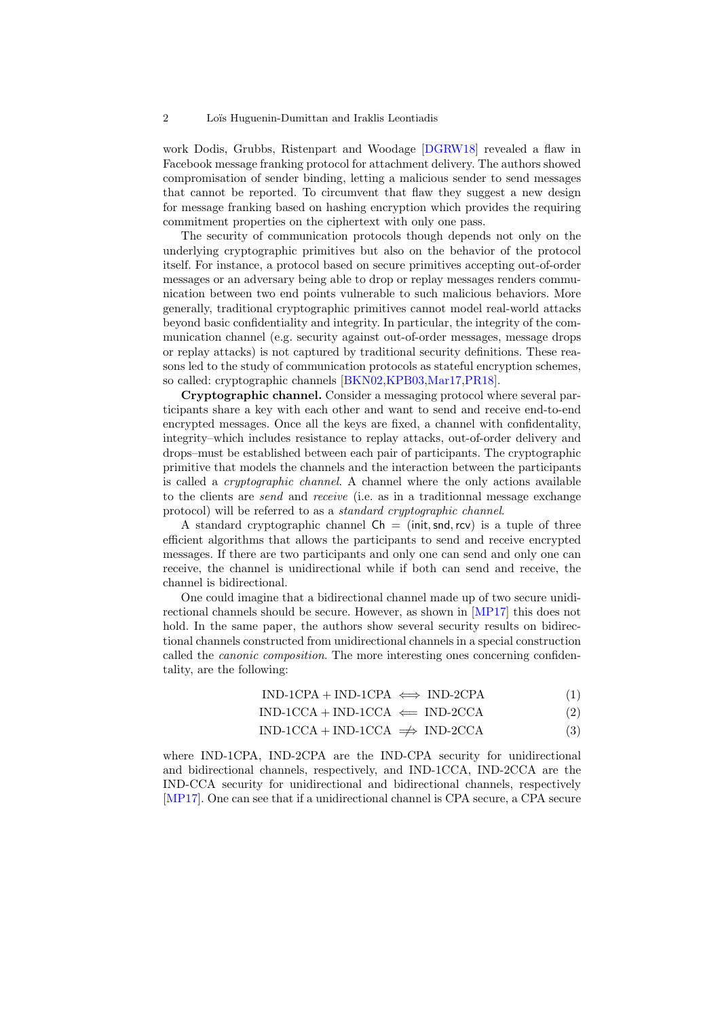work Dodis, Grubbs, Ristenpart and Woodage [\[DGRW18\]](#page-29-2) revealed a flaw in Facebook message franking protocol for attachment delivery. The authors showed compromisation of sender binding, letting a malicious sender to send messages that cannot be reported. To circumvent that flaw they suggest a new design for message franking based on hashing encryption which provides the requiring commitment properties on the ciphertext with only one pass.

The security of communication protocols though depends not only on the underlying cryptographic primitives but also on the behavior of the protocol itself. For instance, a protocol based on secure primitives accepting out-of-order messages or an adversary being able to drop or replay messages renders communication between two end points vulnerable to such malicious behaviors. More generally, traditional cryptographic primitives cannot model real-world attacks beyond basic confidentiality and integrity. In particular, the integrity of the communication channel (e.g. security against out-of-order messages, message drops or replay attacks) is not captured by traditional security definitions. These reasons led to the study of communication protocols as stateful encryption schemes, so called: cryptographic channels [\[BKN02,](#page-28-0)[KPB03,](#page-29-3)[Mar17,](#page-29-4)[PR18\]](#page-29-5).

Cryptographic channel. Consider a messaging protocol where several participants share a key with each other and want to send and receive end-to-end encrypted messages. Once all the keys are fixed, a channel with confidentality, integrity–which includes resistance to replay attacks, out-of-order delivery and drops–must be established between each pair of participants. The cryptographic primitive that models the channels and the interaction between the participants is called a cryptographic channel. A channel where the only actions available to the clients are send and receive (i.e. as in a traditionnal message exchange protocol) will be referred to as a standard cryptographic channel.

A standard cryptographic channel  $\mathsf{Ch} = (\mathsf{init}, \mathsf{snd}, \mathsf{rcv})$  is a tuple of three efficient algorithms that allows the participants to send and receive encrypted messages. If there are two participants and only one can send and only one can receive, the channel is unidirectional while if both can send and receive, the channel is bidirectional.

One could imagine that a bidirectional channel made up of two secure unidirectional channels should be secure. However, as shown in [\[MP17\]](#page-29-6) this does not hold. In the same paper, the authors show several security results on bidirectional channels constructed from unidirectional channels in a special construction called the canonic composition. The more interesting ones concerning confidentality, are the following:

$$
IND-1CPA + IND-1CPA \iff IND-2CPA \tag{1}
$$

 $IND-1CCA + IND-1CCA \leftarrow IND-2CCA$  (2)

$$
IND-1CCA + IND-1CCA \implies IND-2CCA \tag{3}
$$

where IND-1CPA, IND-2CPA are the IND-CPA security for unidirectional and bidirectional channels, respectively, and IND-1CCA, IND-2CCA are the IND-CCA security for unidirectional and bidirectional channels, respectively [\[MP17\]](#page-29-6). One can see that if a unidirectional channel is CPA secure, a CPA secure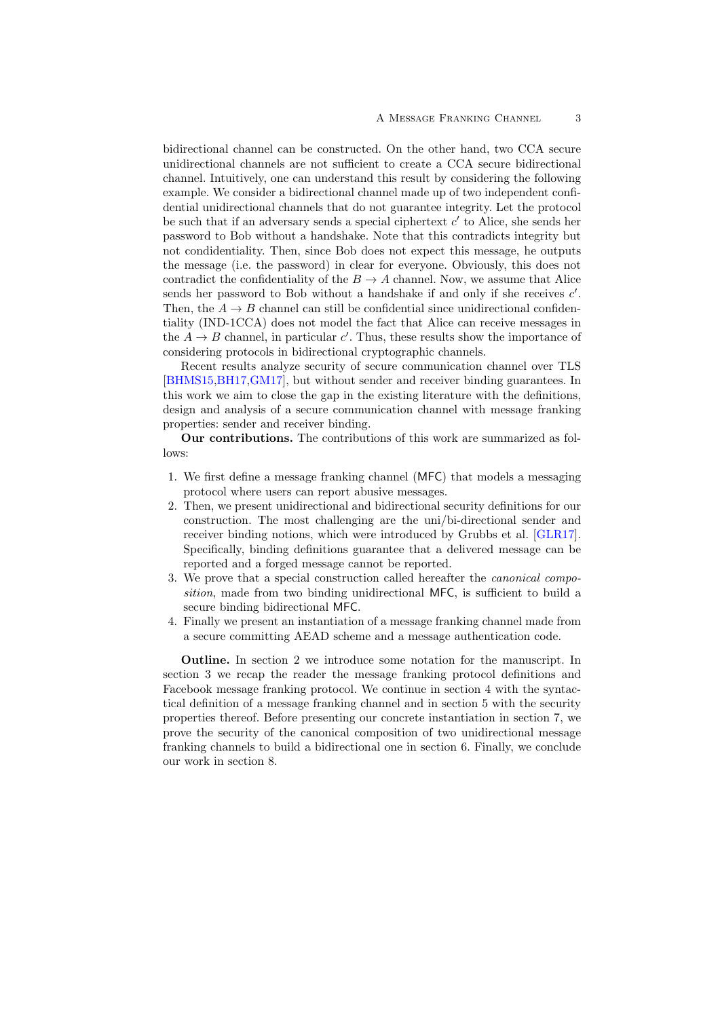bidirectional channel can be constructed. On the other hand, two CCA secure unidirectional channels are not sufficient to create a CCA secure bidirectional channel. Intuitively, one can understand this result by considering the following example. We consider a bidirectional channel made up of two independent confidential unidirectional channels that do not guarantee integrity. Let the protocol be such that if an adversary sends a special ciphertext  $c'$  to Alice, she sends her password to Bob without a handshake. Note that this contradicts integrity but not condidentiality. Then, since Bob does not expect this message, he outputs the message (i.e. the password) in clear for everyone. Obviously, this does not contradict the confidentiality of the  $B \to A$  channel. Now, we assume that Alice sends her password to Bob without a handshake if and only if she receives  $c'$ . Then, the  $A \rightarrow B$  channel can still be confidential since unidirectional confidentiality (IND-1CCA) does not model the fact that Alice can receive messages in the  $A \to B$  channel, in particular c'. Thus, these results show the importance of considering protocols in bidirectional cryptographic channels.

Recent results analyze security of secure communication channel over TLS [\[BHMS15](#page-28-1)[,BH17,](#page-28-2)[GM17\]](#page-29-7), but without sender and receiver binding guarantees. In this work we aim to close the gap in the existing literature with the definitions, design and analysis of a secure communication channel with message franking properties: sender and receiver binding.

Our contributions. The contributions of this work are summarized as follows:

- 1. We first define a message franking channel (MFC) that models a messaging protocol where users can report abusive messages.
- 2. Then, we present unidirectional and bidirectional security definitions for our construction. The most challenging are the uni/bi-directional sender and receiver binding notions, which were introduced by Grubbs et al. [\[GLR17\]](#page-29-1). Specifically, binding definitions guarantee that a delivered message can be reported and a forged message cannot be reported.
- 3. We prove that a special construction called hereafter the canonical composition, made from two binding unidirectional MFC, is sufficient to build a secure binding bidirectional MFC.
- 4. Finally we present an instantiation of a message franking channel made from a secure committing AEAD scheme and a message authentication code.

Outline. In [section 2](#page-3-0) we introduce some notation for the manuscript. In [section 3](#page-3-1) we recap the reader the message franking protocol definitions and Facebook message franking protocol. We continue in [section 4](#page-7-0) with the syntactical definition of a message franking channel and in [section 5](#page-12-0) with the security properties thereof. Before presenting our concrete instantiation in [section 7,](#page-23-0) we prove the security of the canonical composition of two unidirectional message franking channels to build a bidirectional one in [section 6.](#page-19-0) Finally, we conclude our work in [section 8.](#page-27-0)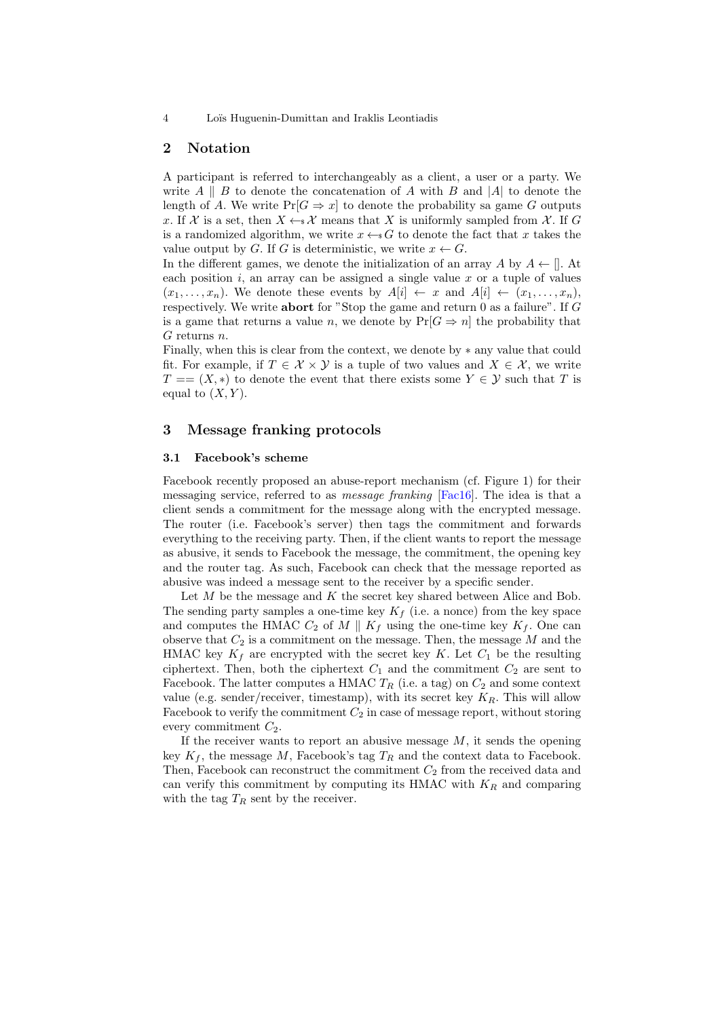## <span id="page-3-0"></span>2 Notation

A participant is referred to interchangeably as a client, a user or a party. We write  $A \parallel B$  to denote the concatenation of A with B and |A| to denote the length of A. We write  $Pr[G \Rightarrow x]$  to denote the probability sa game G outputs x. If X is a set, then  $X \leftarrow \mathcal{X}$  means that X is uniformly sampled from X. If G is a randomized algorithm, we write  $x \leftarrow s G$  to denote the fact that x takes the value output by G. If G is deterministic, we write  $x \leftarrow G$ .

In the different games, we denote the initialization of an array A by  $A \leftarrow \emptyset$ . At each position  $i$ , an array can be assigned a single value  $x$  or a tuple of values  $(x_1, \ldots, x_n)$ . We denote these events by  $A[i] \leftarrow x$  and  $A[i] \leftarrow (x_1, \ldots, x_n)$ , respectively. We write abort for "Stop the game and return 0 as a failure". If  $G$ is a game that returns a value n, we denote by  $Pr[G \Rightarrow n]$  the probability that  $G$  returns  $n$ .

Finally, when this is clear from the context, we denote by ∗ any value that could fit. For example, if  $T \in \mathcal{X} \times \mathcal{Y}$  is a tuple of two values and  $X \in \mathcal{X}$ , we write  $T = (X, *)$  to denote the event that there exists some  $Y \in \mathcal{Y}$  such that T is equal to  $(X, Y)$ .

## <span id="page-3-1"></span>3 Message franking protocols

## 3.1 Facebook's scheme

Facebook recently proposed an abuse-report mechanism (cf. Figure [1\)](#page-4-0) for their messaging service, referred to as *message franking* [\[Fac16\]](#page-29-0). The idea is that a client sends a commitment for the message along with the encrypted message. The router (i.e. Facebook's server) then tags the commitment and forwards everything to the receiving party. Then, if the client wants to report the message as abusive, it sends to Facebook the message, the commitment, the opening key and the router tag. As such, Facebook can check that the message reported as abusive was indeed a message sent to the receiver by a specific sender.

Let  $M$  be the message and  $K$  the secret key shared between Alice and Bob. The sending party samples a one-time key  $K_f$  (i.e. a nonce) from the key space and computes the HMAC  $C_2$  of  $M \parallel K_f$  using the one-time key  $K_f$ . One can observe that  $C_2$  is a commitment on the message. Then, the message  $M$  and the HMAC key  $K_f$  are encrypted with the secret key K. Let  $C_1$  be the resulting ciphertext. Then, both the ciphertext  $C_1$  and the commitment  $C_2$  are sent to Facebook. The latter computes a HMAC  $T_R$  (i.e. a tag) on  $C_2$  and some context value (e.g. sender/receiver, timestamp), with its secret key  $K_R$ . This will allow Facebook to verify the commitment  $C_2$  in case of message report, without storing every commitment  $C_2$ .

If the receiver wants to report an abusive message  $M$ , it sends the opening key  $K_f$ , the message M, Facebook's tag  $T_R$  and the context data to Facebook. Then, Facebook can reconstruct the commitment  $C_2$  from the received data and can verify this commitment by computing its HMAC with  $K_R$  and comparing with the tag  $T_R$  sent by the receiver.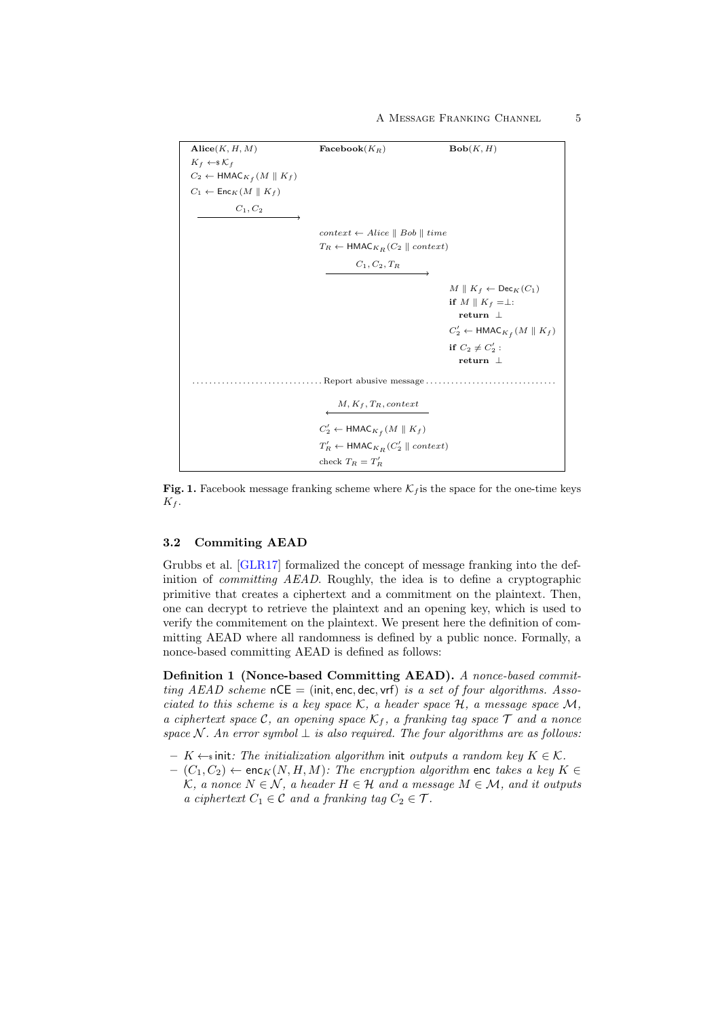| $\mathbf{Alice}(K, H, M)$                           | Facebook $(K_R)$                                            | $\mathbf{Bob}(K, H)$                                 |
|-----------------------------------------------------|-------------------------------------------------------------|------------------------------------------------------|
| $K_f \leftarrow \& \mathcal{K}_f$                   |                                                             |                                                      |
| $C_2 \leftarrow \text{HMAC}_{K_f}(M \parallel K_f)$ |                                                             |                                                      |
| $C_1 \leftarrow \mathsf{Enc}_K(M \parallel K_f)$    |                                                             |                                                      |
| $C_1, C_2$                                          |                                                             |                                                      |
|                                                     | $context \leftarrow Alice \parallel Bob \parallel time$     |                                                      |
|                                                     | $T_R \leftarrow \text{HMAC}_{K_R}(C_2 \parallel context)$   |                                                      |
|                                                     | $C_1, C_2, T_R$                                             |                                                      |
|                                                     |                                                             | $M \parallel K_f \leftarrow \mathsf{Dec}_K(C_1)$     |
|                                                     |                                                             | if $M \parallel K_f = \perp$ :                       |
|                                                     |                                                             | return $\perp$                                       |
|                                                     |                                                             | $C'_2 \leftarrow \text{HMAC}_{K_f}(M \parallel K_f)$ |
|                                                     |                                                             | if $C_2 \neq C'_2$ :                                 |
|                                                     |                                                             |                                                      |
|                                                     |                                                             | return $\perp$                                       |
|                                                     |                                                             |                                                      |
|                                                     | $M, K_f, \mathcal{T}_R, context$                            |                                                      |
|                                                     |                                                             |                                                      |
|                                                     | $C'_2 \leftarrow \text{HMAC}_{K_f}(M \parallel K_f)$        |                                                      |
|                                                     | $T'_R \leftarrow \text{HMAC}_{K_R}(C'_2 \parallel context)$ |                                                      |
|                                                     | check $T_R = T'_R$                                          |                                                      |

<span id="page-4-0"></span>Fig. 1. Facebook message franking scheme where  $\mathcal{K}_f$  is the space for the one-time keys  $K_f$ .

## 3.2 Commiting AEAD

Grubbs et al. [\[GLR17\]](#page-29-1) formalized the concept of message franking into the definition of *committing AEAD*. Roughly, the idea is to define a cryptographic primitive that creates a ciphertext and a commitment on the plaintext. Then, one can decrypt to retrieve the plaintext and an opening key, which is used to verify the commitement on the plaintext. We present here the definition of committing AEAD where all randomness is defined by a public nonce. Formally, a nonce-based committing AEAD is defined as follows:

Definition 1 (Nonce-based Committing AEAD). A nonce-based committing AEAD scheme  $nCE = (init, enc, dec, vrf)$  is a set of four algorithms. Associated to this scheme is a key space  $K$ , a header space  $H$ , a message space  $M$ , a ciphertext space C, an opening space  $\mathcal{K}_f$ , a franking tag space  $\mathcal T$  and a nonce space N. An error symbol  $\perp$  is also required. The four algorithms are as follows:

- K ← sinit: The initialization algorithm init outputs a random key  $K \in \mathcal{K}$ .
- $(C_1, C_2)$   $\leftarrow$  enc<sub>K</sub>(N, H, M): The encryption algorithm enc takes a key K  $\in$ K, a nonce  $N \in \mathcal{N}$ , a header  $H \in \mathcal{H}$  and a message  $M \in \mathcal{M}$ , and it outputs a ciphertext  $C_1 \in \mathcal{C}$  and a franking tag  $C_2 \in \mathcal{T}$ .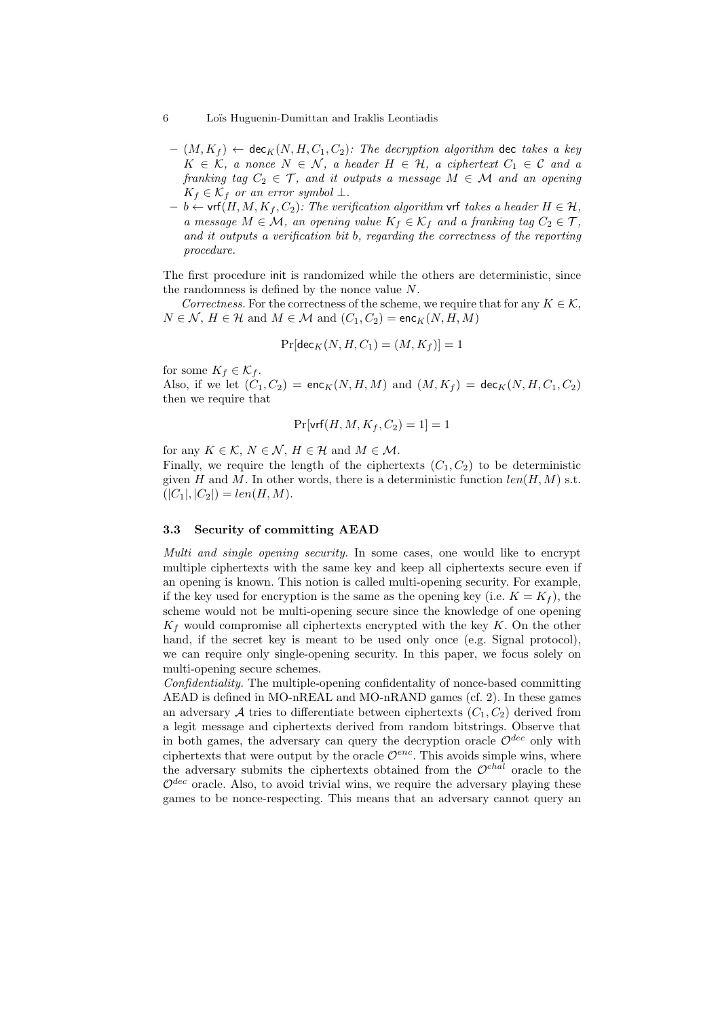- $(M, K_f) \leftarrow$  dec<sub>K</sub>(N, H, C<sub>1</sub>, C<sub>2</sub>): The decryption algorithm dec takes a key  $K \in \mathcal{K}$ , a nonce  $N \in \mathcal{N}$ , a header  $H \in \mathcal{H}$ , a ciphertext  $C_1 \in \mathcal{C}$  and a franking tag  $C_2 \in \mathcal{T}$ , and it outputs a message  $M \in \mathcal{M}$  and an opening  $K_f \in \mathcal{K}_f$  or an error symbol  $\perp$ .
- $b \leftarrow \text{vrf}(H, M, K_f, C_2)$ : The verification algorithm vrf takes a header  $H \in \mathcal{H}$ , a message  $M \in \mathcal{M}$ , an opening value  $K_f \in \mathcal{K}_f$  and a franking tag  $C_2 \in \mathcal{T}$ , and it outputs a verification bit b, regarding the correctness of the reporting procedure.

The first procedure init is randomized while the others are deterministic, since the randomness is defined by the nonce value N.

Correctness. For the correctness of the scheme, we require that for any  $K \in \mathcal{K}$ ,  $N \in \mathcal{N}$ ,  $H \in \mathcal{H}$  and  $M \in \mathcal{M}$  and  $(C_1, C_2) = \text{enc}_K(N, H, M)$ 

$$
\Pr[\mathsf{dec}_K(N, H, C_1) = (M, K_f)] = 1
$$

for some  $K_f \in \mathcal{K}_f$ .

Also, if we let  $(C_1, C_2) = \text{enc}_K(N, H, M)$  and  $(M, K_f) = \text{dec}_K(N, H, C_1, C_2)$ then we require that

$$
\Pr[\mathsf{vrf}(H, M, K_f, C_2) = 1] = 1
$$

for any  $K \in \mathcal{K}, N \in \mathcal{N}, H \in \mathcal{H}$  and  $M \in \mathcal{M}$ .

Finally, we require the length of the ciphertexts  $(C_1, C_2)$  to be deterministic given H and M. In other words, there is a deterministic function  $len(H, M)$  s.t.  $(|C_1|, |C_2|) = len(H, M).$ 

## <span id="page-5-0"></span>3.3 Security of committing AEAD

Multi and single opening security. In some cases, one would like to encrypt multiple ciphertexts with the same key and keep all ciphertexts secure even if an opening is known. This notion is called multi-opening security. For example, if the key used for encryption is the same as the opening key (i.e.  $K = K_f$ ), the scheme would not be multi-opening secure since the knowledge of one opening  $K_f$  would compromise all ciphertexts encrypted with the key  $K$ . On the other hand, if the secret key is meant to be used only once (e.g. Signal protocol), we can require only single-opening security. In this paper, we focus solely on multi-opening secure schemes.

Confidentiality. The multiple-opening confidentality of nonce-based committing AEAD is defined in MO-nREAL and MO-nRAND games (cf. [2\)](#page-6-0). In these games an adversary A tries to differentiate between ciphertexts  $(C_1, C_2)$  derived from a legit message and ciphertexts derived from random bitstrings. Observe that in both games, the adversary can query the decryption oracle  $\mathcal{O}^{dec}$  only with ciphertexts that were output by the oracle  $\mathcal{O}^{enc}$ . This avoids simple wins, where the adversary submits the ciphertexts obtained from the  $\mathcal{O}^{chal}$  oracle to the  $\mathcal{O}^{dec}$  oracle. Also, to avoid trivial wins, we require the adversary playing these games to be nonce-respecting. This means that an adversary cannot query an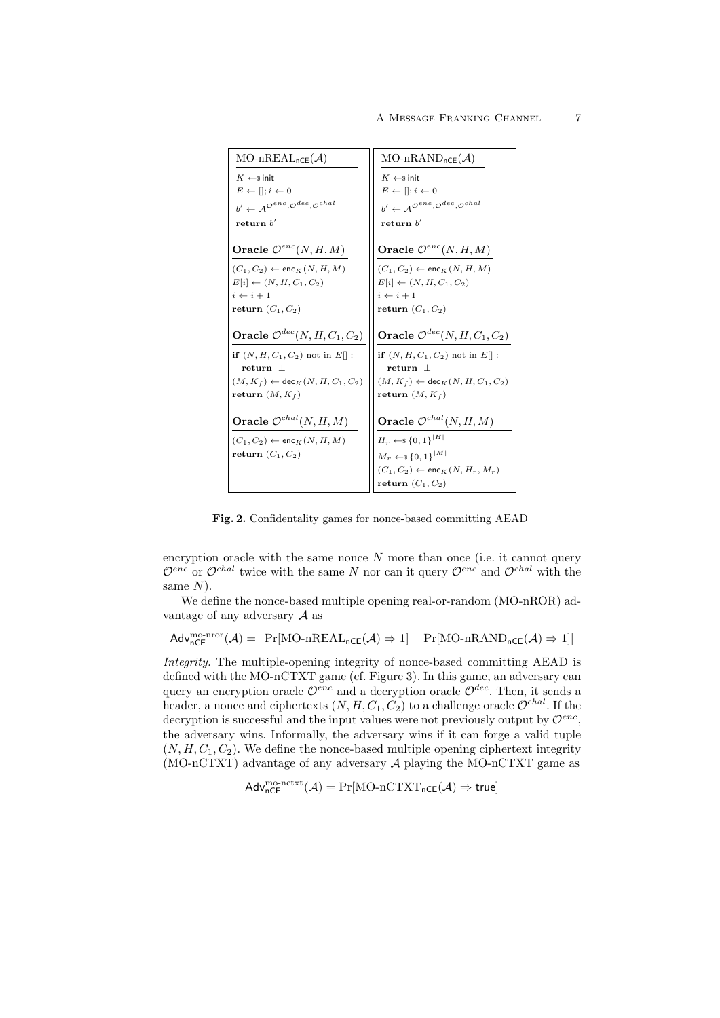| $K \leftarrow s$ init<br>$E \leftarrow []$ ; $i \leftarrow 0$<br>$b' \leftarrow \mathcal{A}^{\mathcal{O}^{enc}, \mathcal{O}^{dec}, \mathcal{O}^{chal}}$         |
|-----------------------------------------------------------------------------------------------------------------------------------------------------------------|
| return $b'$                                                                                                                                                     |
| Oracle $\mathcal{O}^{enc}(N, H, M)$                                                                                                                             |
| $(C_1, C_2) \leftarrow \mathsf{enc}_K(N, H, M)$<br>$E[i] \leftarrow (N, H, C_1, C_2)$<br>$i \leftarrow i + 1$<br>return $(C_1, C_2)$                            |
| Oracle $\mathcal{O}^{dec}(N, H, C_1, C_2)$                                                                                                                      |
| <b>if</b> $(N, H, C_1, C_2)$ not in $E[$ :<br>return $\perp$<br>$(M, K_f) \leftarrow \text{dec}_K(N, H, C_1, C_2)$<br>return $(M, K_f)$                         |
| Oracle $\mathcal{O}^{chal}(N, H, M)$<br>$H_r \leftarrow \{0,1\}^{ H }$<br>$M_r \leftarrow \{0,1\}^{ M }$<br>$(C_1, C_2) \leftarrow \mathsf{enc}_K(N, H_r, M_r)$ |
|                                                                                                                                                                 |

<span id="page-6-0"></span>Fig. 2. Confidentality games for nonce-based committing AEAD

encryption oracle with the same nonce  $N$  more than once (i.e. it cannot query  $\mathcal{O}^{enc}$  or  $\mathcal{O}^{chal}$  twice with the same N nor can it query  $\mathcal{O}^{enc}$  and  $\mathcal{O}^{chal}$  with the same  $N$ ).

We define the nonce-based multiple opening real-or-random (MO-nROR) advantage of any adversary  $A$  as

$$
\mathsf{Adv}_{\mathsf{nCE}}^{\mathrm{mo-nror}}(\mathcal{A}) = |\Pr[\mathrm{MO}\text{-}\mathrm{nREAL}_{\mathsf{nCE}}(\mathcal{A}) \Rightarrow 1] - \Pr[\mathrm{MO}\text{-}\mathrm{nRAND}_{\mathsf{nCE}}(\mathcal{A}) \Rightarrow 1]|
$$

Integrity. The multiple-opening integrity of nonce-based committing AEAD is defined with the MO-nCTXT game (cf. Figure [3\)](#page-7-1). In this game, an adversary can query an encryption oracle  $\mathcal{O}^{enc}$  and a decryption oracle  $\mathcal{O}^{dec}$ . Then, it sends a header, a nonce and ciphertexts  $(N, H, C_1, C_2)$  to a challenge oracle  $\mathcal{O}^{chal}$ . If the decryption is successful and the input values were not previously output by  $\mathcal{O}^{enc}$ , the adversary wins. Informally, the adversary wins if it can forge a valid tuple  $(N, H, C_1, C_2)$ . We define the nonce-based multiple opening ciphertext integrity (MO-nCTXT) advantage of any adversary A playing the MO-nCTXT game as

$$
\mathsf{Adv}^{\mathrm{mo\text{-}ntxt}}_{\mathsf{nCE}}(\mathcal{A}) = \Pr[\mathrm{MO\text{-}nCTXT}_{\mathsf{nCE}}(\mathcal{A}) \Rightarrow \mathsf{true}]
$$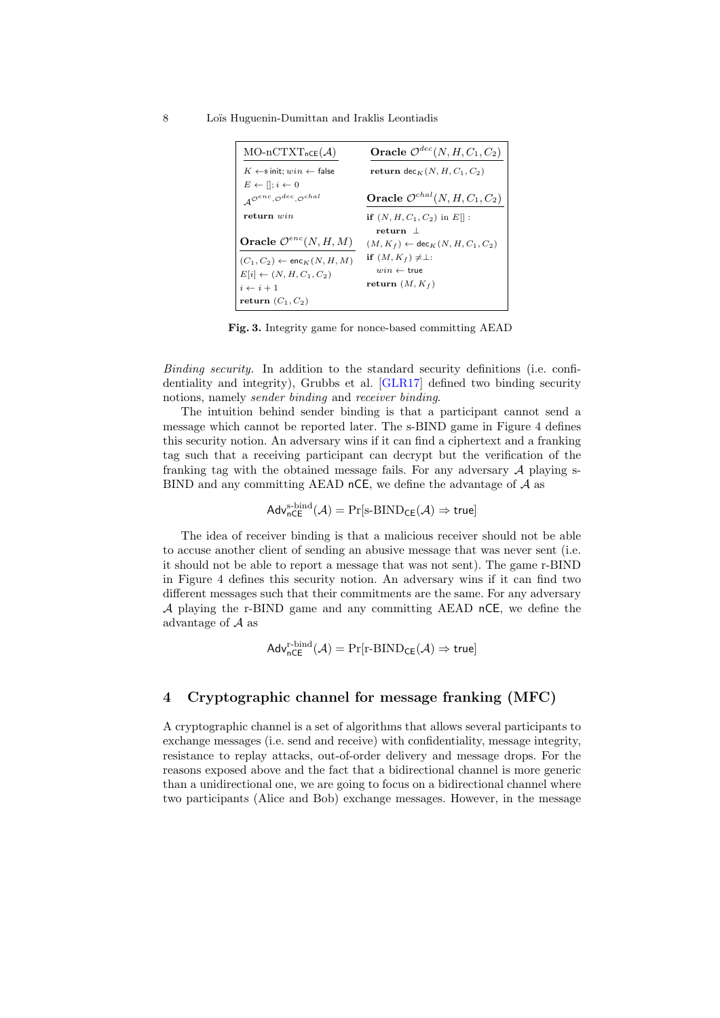| $MO-nCTXT_{nCE}(\mathcal{A})$                                  | Oracle $\mathcal{O}^{dec}(N, H, C_1, C_2)$         |
|----------------------------------------------------------------|----------------------------------------------------|
| $K \leftarrow$ sinit; $win \leftarrow$ false                   | return dec <sub>K</sub> $(N, H, C_1, C_2)$         |
| $E \leftarrow \left[ \cdot; i \leftarrow 0 \right]$            |                                                    |
| $A^{\mathcal{O}^{enc}, \mathcal{O}^{dec}, \mathcal{O}^{chal}}$ | Oracle $\mathcal{O}^{chal}(N, H, C_1, C_2)$        |
| return $win$                                                   | <b>if</b> $(N, H, C_1, C_2)$ in $E[$ :             |
|                                                                | return $\perp$                                     |
| Oracle $\mathcal{O}^{enc}(N, H, M)$                            | $(M, K_f) \leftarrow \text{dec}_K(N, H, C_1, C_2)$ |
| $(C_1, C_2) \leftarrow \mathsf{enc}_K(N, H, M)$                | if $(M, K_f) \neq \perp$ :                         |
| $E[i] \leftarrow (N, H, C_1, C_2)$                             | $win \leftarrow true$                              |
| $i \leftarrow i+1$                                             | return $(M, K_f)$                                  |
| return $(C_1, C_2)$                                            |                                                    |

<span id="page-7-1"></span>Fig. 3. Integrity game for nonce-based committing AEAD

Binding security. In addition to the standard security definitions (i.e. confidentiality and integrity), Grubbs et al. [\[GLR17\]](#page-29-1) defined two binding security notions, namely sender binding and receiver binding.

The intuition behind sender binding is that a participant cannot send a message which cannot be reported later. The s-BIND game in Figure [4](#page-8-0) defines this security notion. An adversary wins if it can find a ciphertext and a franking tag such that a receiving participant can decrypt but the verification of the franking tag with the obtained message fails. For any adversary  $A$  playing s-BIND and any committing AEAD nCE, we define the advantage of  $A$  as

$$
\mathsf{Adv}^{\operatorname{s-bind}}_{\mathsf{nCE}}(\mathcal{A}) = \Pr[\operatorname{s-BIND}_{\mathsf{CE}}(\mathcal{A}) \Rightarrow \mathsf{true}]
$$

The idea of receiver binding is that a malicious receiver should not be able to accuse another client of sending an abusive message that was never sent (i.e. it should not be able to report a message that was not sent). The game r-BIND in Figure [4](#page-8-0) defines this security notion. An adversary wins if it can find two different messages such that their commitments are the same. For any adversary A playing the r-BIND game and any committing AEAD nCE, we define the advantage of  $A$  as

$$
\mathsf{Adv}^{\mathrm{r\text{-}bind}}_{\mathsf{nCE}}(\mathcal{A}) = \Pr[\mathrm{r\text{-}BIND_{CE}}(\mathcal{A}) \Rightarrow \mathsf{true}]
$$

## <span id="page-7-0"></span>4 Cryptographic channel for message franking (MFC)

A cryptographic channel is a set of algorithms that allows several participants to exchange messages (i.e. send and receive) with confidentiality, message integrity, resistance to replay attacks, out-of-order delivery and message drops. For the reasons exposed above and the fact that a bidirectional channel is more generic than a unidirectional one, we are going to focus on a bidirectional channel where two participants (Alice and Bob) exchange messages. However, in the message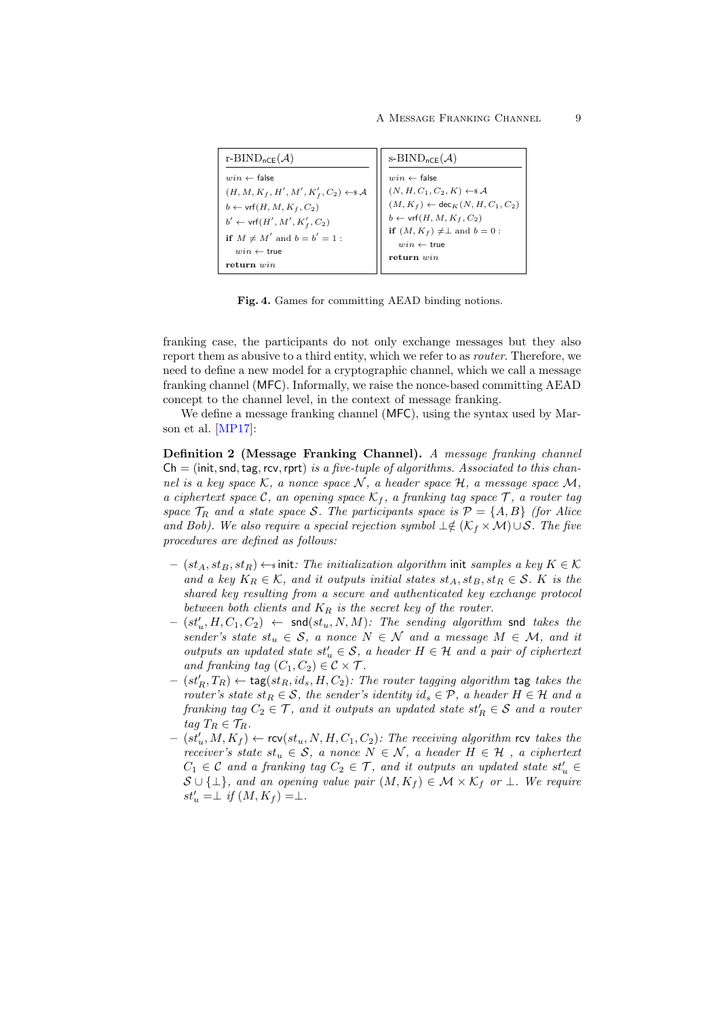| r-BIND <sub>nCE</sub> $(\mathcal{A})$                   | s-BIND <sub>nCE</sub> $(\mathcal{A})$            |
|---------------------------------------------------------|--------------------------------------------------|
| $win \leftarrow false$                                  | $win \leftarrow false$                           |
| $(H, M, K_f, H', M', K'_f, C_2) \leftarrow \mathcal{A}$ | $(N, H, C_1, C_2, K) \leftarrow \mathcal{A}$     |
| $b \leftarrow \text{vrf}(H, M, K_f, C_2)$               | $(M,K_f) \leftarrow \mathsf{dec}_K(N,H,C_1,C_2)$ |
| $b' \leftarrow \textsf{vrf}(H', M', K'_f, C_2)$         | $b \leftarrow \textsf{vrf}(H, M, K_f, C_2)$      |
| if $M \neq M'$ and $b = b' = 1$ :                       | if $(M, K_f) \neq \perp$ and $b = 0$ :           |
| $win \leftarrow true$                                   | $win \leftarrow true$                            |
| $return \; win$                                         | return win                                       |

<span id="page-8-0"></span>Fig. 4. Games for committing AEAD binding notions.

franking case, the participants do not only exchange messages but they also report them as abusive to a third entity, which we refer to as *router*. Therefore, we need to define a new model for a cryptographic channel, which we call a message franking channel (MFC). Informally, we raise the nonce-based committing AEAD concept to the channel level, in the context of message franking.

We define a message franking channel (MFC), using the syntax used by Marson et al. [\[MP17\]](#page-29-6):

Definition 2 (Message Franking Channel). A message franking channel  $Ch = (init, \text{snd}, \text{tag}, \text{rort})$  is a five-tuple of algorithms. Associated to this channel is a key space  $K$ , a nonce space  $\mathcal N$ , a header space  $\mathcal H$ , a message space  $\mathcal M$ , a ciphertext space C, an opening space  $\mathcal{K}_f$ , a franking tag space T, a router tag space  $\mathcal{T}_R$  and a state space S. The participants space is  $\mathcal{P} = \{A, B\}$  (for Alice and Bob). We also require a special rejection symbol  $\perp \notin (\mathcal{K}_f \times \mathcal{M}) \cup \mathcal{S}$ . The five procedures are defined as follows:

- $(st_A, st_B, st_R)$  ← sinit: The initialization algorithm init samples a key  $K \in \mathcal{K}$ and a key  $K_R \in \mathcal{K}$ , and it outputs initial states  $st_A, st_B, st_R \in \mathcal{S}$ . K is the shared key resulting from a secure and authenticated key exchange protocol between both clients and  $K_R$  is the secret key of the router.
- $(st_u', H, C_1, C_2)$   $\leftarrow$  snd $(st_u, N, M)$ : The sending algorithm snd takes the sender's state  $st_u \in \mathcal{S}$ , a nonce  $N \in \mathcal{N}$  and a message  $M \in \mathcal{M}$ , and it outputs an updated state  $st'_u \in S$ , a header  $H \in \mathcal{H}$  and a pair of ciphertext and franking tag  $(C_1, C_2) \in \mathcal{C} \times \mathcal{T}$ .
- $(st'_R, T_R) \leftarrow$  tag $(st_R, id_s, H, C_2)$ : The router tagging algorithm tag takes the router's state  $st_R \in \mathcal{S}$ , the sender's identity  $id_s \in \mathcal{P}$ , a header  $H \in \mathcal{H}$  and a franking tag  $C_2 \in \mathcal{T}$ , and it outputs an updated state  $st'_R \in \mathcal{S}$  and a router tag  $T_R \in \mathcal{T}_R$ .
- $(st'_u, M, K_f) \leftarrow \text{rcv}(st_u, N, H, C_1, C_2)$ : The receiving algorithm rcv takes the receiver's state  $st_u \in \mathcal{S}$ , a nonce  $N \in \mathcal{N}$ , a header  $H \in \mathcal{H}$ , a ciphertext  $C_1 \in \mathcal{C}$  and a franking tag  $C_2 \in \mathcal{T}$ , and it outputs an updated state  $st'_u \in$  $S \cup \{\perp\}$ , and an opening value pair  $(M, K_f) \in \mathcal{M} \times \mathcal{K}_f$  or  $\perp$ . We require  $st_u' = \perp \text{ if }(M, K_f) = \perp.$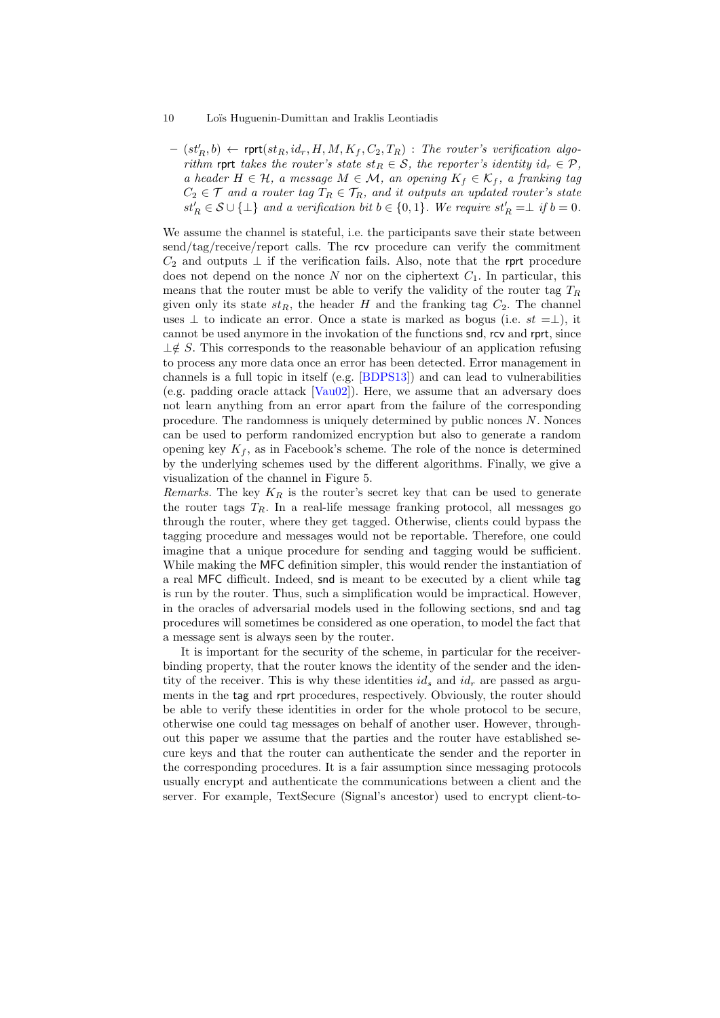$(st'_R, b)$   $\leftarrow$  rprt $(st_R, id_r, H, M, K_f, C_2, T_R)$  : The router's verification algorithm rprt takes the router's state  $st_R \in S$ , the reporter's identity  $id_r \in \mathcal{P}$ , a header  $H \in \mathcal{H}$ , a message  $M \in \mathcal{M}$ , an opening  $K_f \in \mathcal{K}_f$ , a franking tag  $C_2 \in \mathcal{T}$  and a router tag  $T_R \in \mathcal{T}_R$ , and it outputs an updated router's state  $st'_R \in \mathcal{S} \cup \{\perp\}$  and a verification bit  $b \in \{0,1\}$ . We require  $st'_R = \perp if$   $b = 0$ .

We assume the channel is stateful, i.e. the participants save their state between send/tag/receive/report calls. The rcv procedure can verify the commitment  $C_2$  and outputs  $\perp$  if the verification fails. Also, note that the rprt procedure does not depend on the nonce  $N$  nor on the ciphertext  $C_1$ . In particular, this means that the router must be able to verify the validity of the router tag  $T_R$ given only its state  $st_R$ , the header H and the franking tag  $C_2$ . The channel uses  $\perp$  to indicate an error. Once a state is marked as bogus (i.e.  $st = \perp$ ), it cannot be used anymore in the invokation of the functions snd, rcv and rprt, since  $\perp \notin S$ . This corresponds to the reasonable behaviour of an application refusing to process any more data once an error has been detected. Error management in channels is a full topic in itself (e.g. [\[BDPS13\]](#page-28-3)) and can lead to vulnerabilities (e.g. padding oracle attack [\[Vau02\]](#page-29-8)). Here, we assume that an adversary does not learn anything from an error apart from the failure of the corresponding procedure. The randomness is uniquely determined by public nonces  $N$ . Nonces can be used to perform randomized encryption but also to generate a random opening key  $K_f$ , as in Facebook's scheme. The role of the nonce is determined by the underlying schemes used by the different algorithms. Finally, we give a visualization of the channel in Figure [5.](#page-10-0)

Remarks. The key  $K_R$  is the router's secret key that can be used to generate the router tags  $T_R$ . In a real-life message franking protocol, all messages go through the router, where they get tagged. Otherwise, clients could bypass the tagging procedure and messages would not be reportable. Therefore, one could imagine that a unique procedure for sending and tagging would be sufficient. While making the MFC definition simpler, this would render the instantiation of a real MFC difficult. Indeed, snd is meant to be executed by a client while tag is run by the router. Thus, such a simplification would be impractical. However, in the oracles of adversarial models used in the following sections, snd and tag procedures will sometimes be considered as one operation, to model the fact that a message sent is always seen by the router.

It is important for the security of the scheme, in particular for the receiverbinding property, that the router knows the identity of the sender and the identity of the receiver. This is why these identities  $id_s$  and  $id_r$  are passed as arguments in the tag and rprt procedures, respectively. Obviously, the router should be able to verify these identities in order for the whole protocol to be secure, otherwise one could tag messages on behalf of another user. However, throughout this paper we assume that the parties and the router have established secure keys and that the router can authenticate the sender and the reporter in the corresponding procedures. It is a fair assumption since messaging protocols usually encrypt and authenticate the communications between a client and the server. For example, TextSecure (Signal's ancestor) used to encrypt client-to-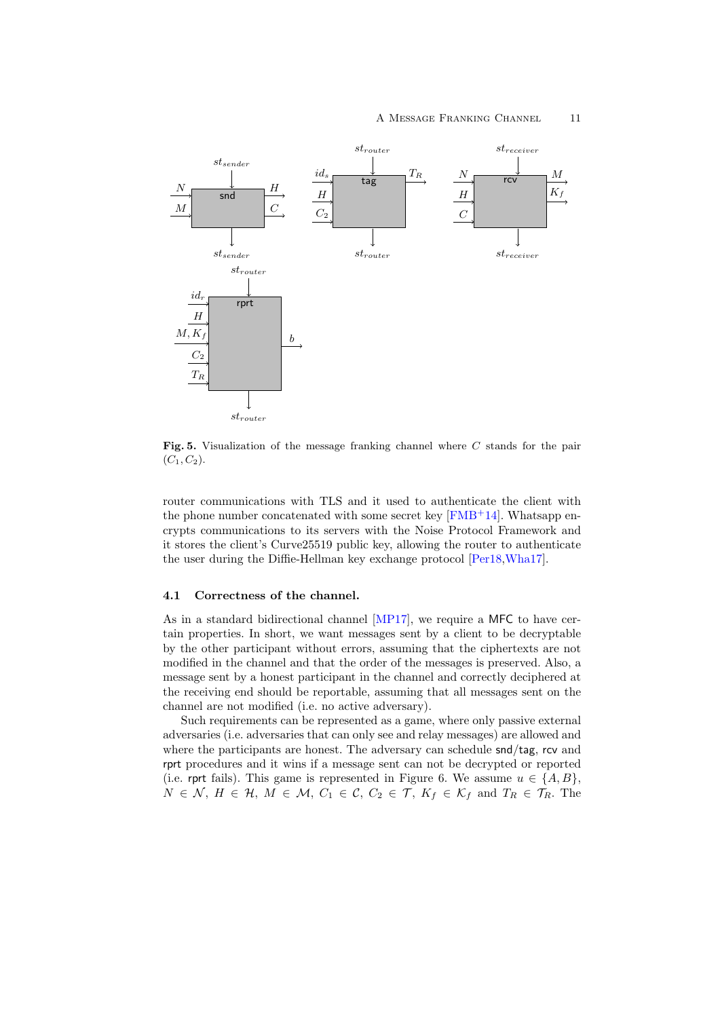

<span id="page-10-0"></span>Fig. 5. Visualization of the message franking channel where C stands for the pair  $(C_1, C_2)$ .

router communications with TLS and it used to authenticate the client with the phone number concatenated with some secret key  $[FMB+14]$  $[FMB+14]$ . Whatsapp encrypts communications to its servers with the Noise Protocol Framework and it stores the client's Curve25519 public key, allowing the router to authenticate the user during the Diffie-Hellman key exchange protocol [\[Per18,](#page-29-10)[Wha17\]](#page-29-11).

### 4.1 Correctness of the channel.

As in a standard bidirectional channel [\[MP17\]](#page-29-6), we require a MFC to have certain properties. In short, we want messages sent by a client to be decryptable by the other participant without errors, assuming that the ciphertexts are not modified in the channel and that the order of the messages is preserved. Also, a message sent by a honest participant in the channel and correctly deciphered at the receiving end should be reportable, assuming that all messages sent on the channel are not modified (i.e. no active adversary).

Such requirements can be represented as a game, where only passive external adversaries (i.e. adversaries that can only see and relay messages) are allowed and where the participants are honest. The adversary can schedule  $\mathsf{snd}/\mathsf{tag}$ , rcv and rprt procedures and it wins if a message sent can not be decrypted or reported (i.e. rprt fails). This game is represented in Figure [6.](#page-12-1) We assume  $u \in \{A, B\}$ ,  $N \in \mathcal{N}, H \in \mathcal{H}, M \in \mathcal{M}, C_1 \in \mathcal{C}, C_2 \in \mathcal{T}, K_f \in \mathcal{K}_f \text{ and } T_R \in \mathcal{T}_R$ . The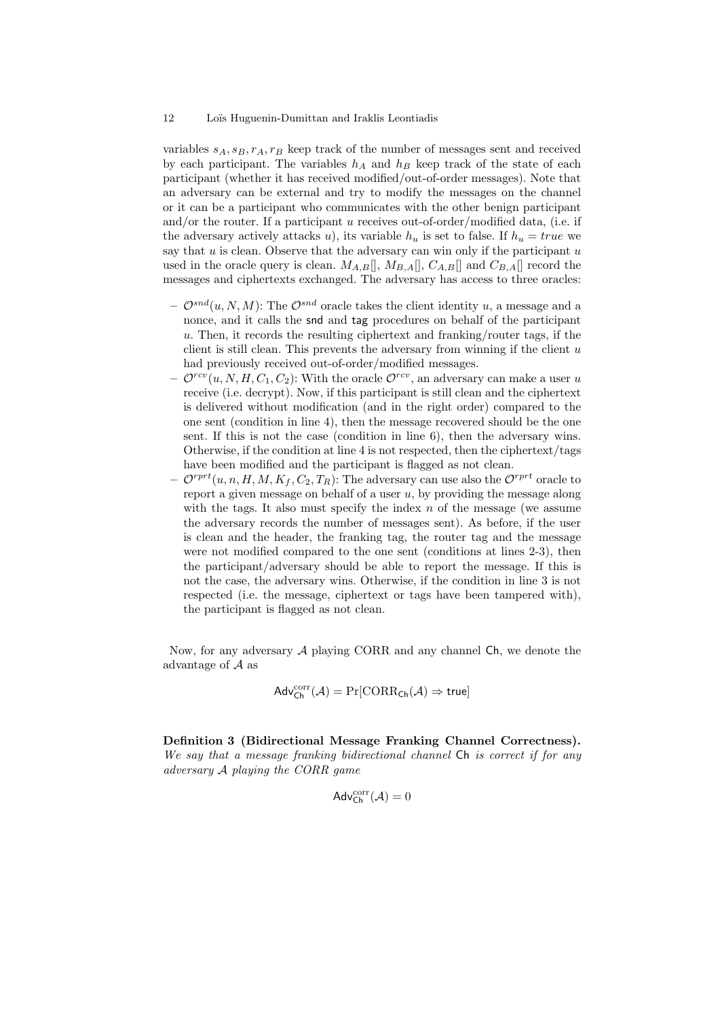variables  $s_A, s_B, r_A, r_B$  keep track of the number of messages sent and received by each participant. The variables  $h_A$  and  $h_B$  keep track of the state of each participant (whether it has received modified/out-of-order messages). Note that an adversary can be external and try to modify the messages on the channel or it can be a participant who communicates with the other benign participant and/or the router. If a participant u receives out-of-order/modified data, (i.e. if the adversary actively attacks u), its variable  $h_u$  is set to false. If  $h_u = true$  we say that  $u$  is clean. Observe that the adversary can win only if the participant  $u$ used in the oracle query is clean.  $M_{A,B}[[, M_{B,A}[[, C_{A,B}[[, A_{B,A}[[, A_{B,A}[[, A_{B,A}[[, A_{B,A}[[, A_{B,A}[[, A_{B,A}[[, A_{B,A}[[, A_{B,A}[[, A_{B,A}[[, A_{B,A}[[, A_{B,A}[[, A_{B,A}[[, A_{B,A}[[, A_{B,A}[[, A_{B,A}[[, A_{B,A}[[, A_{B,A}[[, A_{B,A}[[, A_{B,A}[[, A_{B,A}[[, A_{B,A}[[, A_{B,A}[[, A_{B,A}[[, A_{B$ messages and ciphertexts exchanged. The adversary has access to three oracles:

- $\mathcal{O}^{snd}(u, N, M)$ : The  $\mathcal{O}^{snd}$  oracle takes the client identity u, a message and a nonce, and it calls the snd and tag procedures on behalf of the participant u. Then, it records the resulting ciphertext and franking/router tags, if the client is still clean. This prevents the adversary from winning if the client  $u$ had previously received out-of-order/modified messages.
- $\mathcal{O}^{rev}(u, N, H, C_1, C_2)$ : With the oracle  $\mathcal{O}^{rev}$ , an adversary can make a user u receive (i.e. decrypt). Now, if this participant is still clean and the ciphertext is delivered without modification (and in the right order) compared to the one sent (condition in line 4), then the message recovered should be the one sent. If this is not the case (condition in line 6), then the adversary wins. Otherwise, if the condition at line 4 is not respected, then the ciphertext/tags have been modified and the participant is flagged as not clean.
- $\mathcal{O}^{rprt}(u, n, H, M, K_f, C_2, T_R)$ : The adversary can use also the  $\mathcal{O}^{rprt}$  oracle to report a given message on behalf of a user  $u$ , by providing the message along with the tags. It also must specify the index  $n$  of the message (we assume the adversary records the number of messages sent). As before, if the user is clean and the header, the franking tag, the router tag and the message were not modified compared to the one sent (conditions at lines 2-3), then the participant/adversary should be able to report the message. If this is not the case, the adversary wins. Otherwise, if the condition in line 3 is not respected (i.e. the message, ciphertext or tags have been tampered with), the participant is flagged as not clean.

Now, for any adversary  $A$  playing CORR and any channel  $Ch$ , we denote the advantage of  $A$  as

$$
\mathsf{Adv}^{\mathrm{corr}}_{\mathsf{Ch}}(\mathcal{A}) = \Pr[\mathrm{CORR}_{\mathsf{Ch}}(\mathcal{A}) \Rightarrow \mathsf{true}]
$$

Definition 3 (Bidirectional Message Franking Channel Correctness). We say that a message franking bidirectional channel Ch is correct if for any adversary A playing the CORR game

$$
\mathsf{Adv}^{\mathrm{corr}}_{\mathsf{Ch}}(\mathcal{A})=0
$$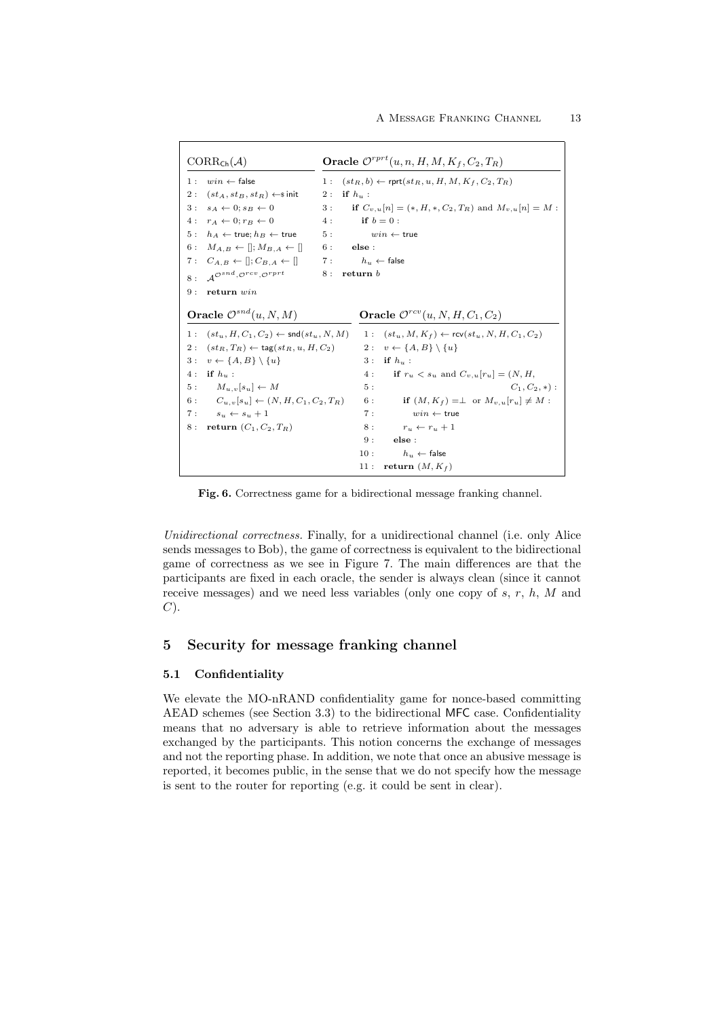| $CORR_{Ch}(\mathcal{A})$                                             |                            |     | Oracle $\mathcal{O}^{rprt}(u, n, H, M, K_f, C_2, T_R)$                                                                     |
|----------------------------------------------------------------------|----------------------------|-----|----------------------------------------------------------------------------------------------------------------------------|
| $win \leftarrow false$<br>1:                                         |                            |     | 1: $(st_B, b) \leftarrow \text{rprt}(st_B, u, H, M, K_f, C_2, T_B)$                                                        |
| 2: $(st_A, st_B, st_B) \leftarrow$ sinit                             | 2: if $h_u$ :              |     |                                                                                                                            |
| $3: s_A \leftarrow 0: s_B \leftarrow 0$                              | 3:                         |     | if $C_{v,u}[n] = (*, H, *, C_2, T_R)$ and $M_{v,u}[n] = M$ :                                                               |
| $4: r_A \leftarrow 0; r_B \leftarrow 0$                              | if $b=0$ :<br>4:           |     |                                                                                                                            |
| 5: $h_A \leftarrow \text{true}; h_B \leftarrow \text{true}$          | $5:$ $win \leftarrow true$ |     |                                                                                                                            |
| 6: $M_{A,B} \leftarrow []; M_{B,A} \leftarrow [$                     | $6:$ else :                |     |                                                                                                                            |
| 7: $C_{A,B} \leftarrow [$ ; $C_{B,A} \leftarrow [$                   | 7 : $h_u \leftarrow$ false |     |                                                                                                                            |
| $A^{\mathcal{O}^{snd}, \mathcal{O}^{rcv}, \mathcal{O}^{rprt}}$<br>8: | $8:$ return $b$            |     |                                                                                                                            |
| 9:<br>return win                                                     |                            |     |                                                                                                                            |
|                                                                      |                            |     |                                                                                                                            |
| Oracle $\mathcal{O}^{snd}(u, N, M)$                                  |                            |     | Oracle $\mathcal{O}^{rev}(u, N, H, C_1, C_2)$                                                                              |
|                                                                      |                            |     | 1: $(st_u, H, C_1, C_2) \leftarrow \text{snd}(st_u, N, M)$ 1: $(st_u, M, K_f) \leftarrow \text{rcv}(st_u, N, H, C_1, C_2)$ |
| 2: $(st_B, T_B) \leftarrow \text{tag}(st_B, u, H, C_2)$              |                            |     | 2: $v \leftarrow \{A, B\} \setminus \{u\}$                                                                                 |
| $3: v \leftarrow \{A, B\} \setminus \{u\}$                           |                            |     | $3:$ if $h_u$ :                                                                                                            |
| 4: if $h_u$ :                                                        |                            | 4:  | <b>if</b> $r_u < s_u$ and $C_{v,u}[r_u] = (N, H,$                                                                          |
| $5: M_{u,v}[s_u] \leftarrow M$                                       |                            | 5:  | $C_1, C_2, \ast$ :                                                                                                         |
| 6: $C_{u,v}[s_u] \leftarrow (N, H, C_1, C_2, T_R)$                   |                            | 6:  | if $(M, K_f) = \perp$ or $M_{v,u}[r_u] \neq M$ :                                                                           |
| $7: s_u \leftarrow s_u + 1$                                          |                            | 7:  | $win \leftarrow true$                                                                                                      |
| return $(C_1, C_2, T_R)$<br>8:                                       |                            |     | $r_u \leftarrow r_u + 1$<br>8:                                                                                             |
|                                                                      |                            |     | $9:$ else :                                                                                                                |
|                                                                      |                            | 10: | $h_u \leftarrow$ false                                                                                                     |
|                                                                      |                            | 11: | return $(M, K_f)$                                                                                                          |

<span id="page-12-1"></span>Fig. 6. Correctness game for a bidirectional message franking channel.

Unidirectional correctness. Finally, for a unidirectional channel (i.e. only Alice sends messages to Bob), the game of correctness is equivalent to the bidirectional game of correctness as we see in Figure [7.](#page-13-0) The main differences are that the participants are fixed in each oracle, the sender is always clean (since it cannot receive messages) and we need less variables (only one copy of  $s, r, h, M$  and  $C$ ).

## <span id="page-12-0"></span>5 Security for message franking channel

## 5.1 Confidentiality

We elevate the MO-nRAND confidentiality game for nonce-based committing AEAD schemes (see Section [3.3\)](#page-5-0) to the bidirectional MFC case. Confidentiality means that no adversary is able to retrieve information about the messages exchanged by the participants. This notion concerns the exchange of messages and not the reporting phase. In addition, we note that once an abusive message is reported, it becomes public, in the sense that we do not specify how the message is sent to the router for reporting (e.g. it could be sent in clear).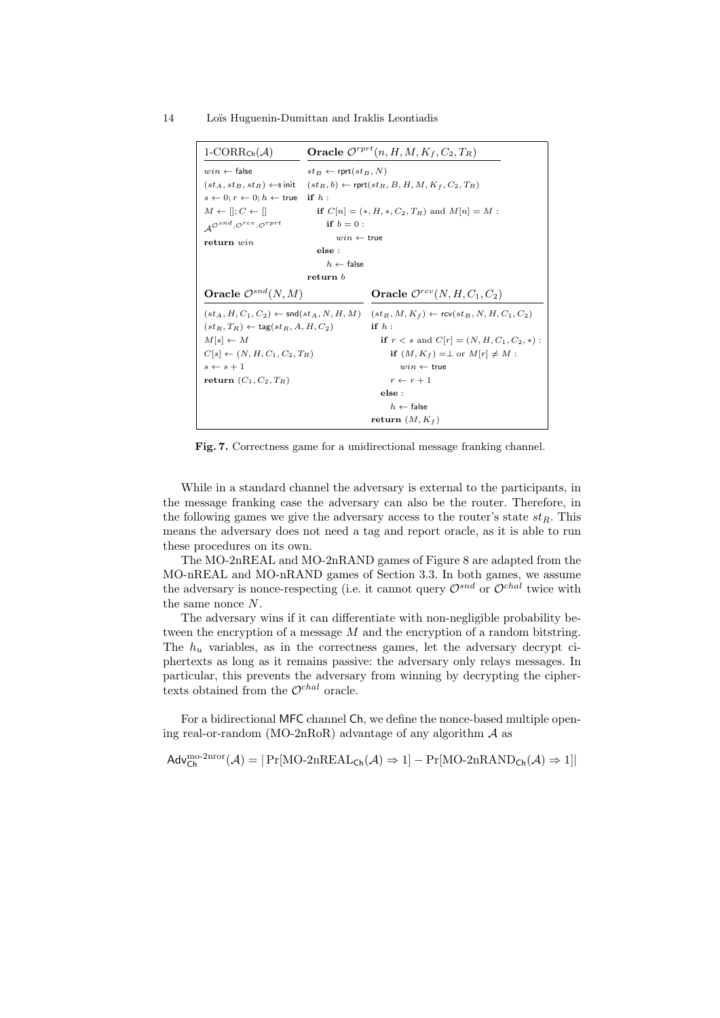14 Loïs Huguenin-Dumittan and Iraklis Leontiadis

| $1-CORR_{Ch}(\mathcal{A})$                                     |                                                                                                       | Oracle $\mathcal{O}^{rprt}(n, H, M, K_f, C_2, T_R)$                                                                         |  |
|----------------------------------------------------------------|-------------------------------------------------------------------------------------------------------|-----------------------------------------------------------------------------------------------------------------------------|--|
| $win \leftarrow false$                                         | $st_B \leftarrow \text{rprt}(st_B, N)$                                                                |                                                                                                                             |  |
|                                                                | $(st_A, st_B, st_R) \leftarrow$ sinit $(st_R, b) \leftarrow \text{rpt}(st_R, B, H, M, K_f, C_2, T_R)$ |                                                                                                                             |  |
| $s \leftarrow 0$ ; $r \leftarrow 0$ ; $h \leftarrow$ true      | if $h$ :                                                                                              |                                                                                                                             |  |
| $M \leftarrow \lbrack \lbrack :C \leftarrow \lbrack \rbrack$   | if $C[n] = (*, H, *, C_2, T_R)$ and $M[n] = M$ :                                                      |                                                                                                                             |  |
| $A^{\mathcal{O}^{snd}, \mathcal{O}^{rcv}, \mathcal{O}^{rprt}}$ | if $b=0$ :                                                                                            |                                                                                                                             |  |
| return $win$                                                   | $win \leftarrow true$                                                                                 |                                                                                                                             |  |
|                                                                | else :                                                                                                |                                                                                                                             |  |
|                                                                | $h \leftarrow$ false                                                                                  |                                                                                                                             |  |
|                                                                | return b                                                                                              |                                                                                                                             |  |
| Oracle $\mathcal{O}^{snd}(N, M)$                               |                                                                                                       | Oracle $\mathcal{O}^{rev}(N, H, C_1, C_2)$                                                                                  |  |
|                                                                |                                                                                                       | $(st_A, H, C_1, C_2) \leftarrow \mathsf{snd}(st_A, N, H, M)$ $(st_B, M, K_f) \leftarrow \mathsf{rcv}(st_B, N, H, C_1, C_2)$ |  |
| $(st_R, T_R) \leftarrow \text{tag}(st_R, A, H, C_2)$           |                                                                                                       | if $h$ :                                                                                                                    |  |
| $M[s] \leftarrow M$                                            |                                                                                                       | if $r < s$ and $C[r] = (N, H, C_1, C_2, *)$ :                                                                               |  |
| $C[s] \leftarrow (N, H, C_1, C_2, T_R)$                        |                                                                                                       | if $(M, K_f) = \perp$ or $M[r] \neq M$ :                                                                                    |  |
| $s \leftarrow s + 1$                                           |                                                                                                       | $win \leftarrow true$                                                                                                       |  |
| return $(C_1, C_2, T_R)$                                       |                                                                                                       | $r \leftarrow r + 1$                                                                                                        |  |
|                                                                |                                                                                                       | else :                                                                                                                      |  |
|                                                                |                                                                                                       | $h \leftarrow$ false                                                                                                        |  |
|                                                                |                                                                                                       | return $(M, K_f)$                                                                                                           |  |

<span id="page-13-0"></span>Fig. 7. Correctness game for a unidirectional message franking channel.

While in a standard channel the adversary is external to the participants, in the message franking case the adversary can also be the router. Therefore, in the following games we give the adversary access to the router's state  $st_R$ . This means the adversary does not need a tag and report oracle, as it is able to run these procedures on its own.

The MO-2nREAL and MO-2nRAND games of Figure [8](#page-14-0) are adapted from the MO-nREAL and MO-nRAND games of Section [3.3.](#page-5-0) In both games, we assume the adversary is nonce-respecting (i.e. it cannot query  $\mathcal{O}^{snd}$  or  $\mathcal{O}^{chal}$  twice with the same nonce N.

The adversary wins if it can differentiate with non-negligible probability between the encryption of a message M and the encryption of a random bitstring. The  $h_u$  variables, as in the correctness games, let the adversary decrypt ciphertexts as long as it remains passive: the adversary only relays messages. In particular, this prevents the adversary from winning by decrypting the ciphertexts obtained from the  $\mathcal{O}^{chal}$  oracle.

For a bidirectional MFC channel Ch, we define the nonce-based multiple opening real-or-random (MO-2nRoR) advantage of any algorithm  $A$  as

$$
\mathsf{Adv}^{\mathrm{mo\text{-}2nror}}_{\mathsf{Ch}}(\mathcal{A})=|\Pr[\mathrm{MO\text{-}2nREAL}_{\mathsf{Ch}}(\mathcal{A})\Rightarrow 1]-\Pr[\mathrm{MO\text{-}2nRAND}_{\mathsf{Ch}}(\mathcal{A})\Rightarrow 1]|
$$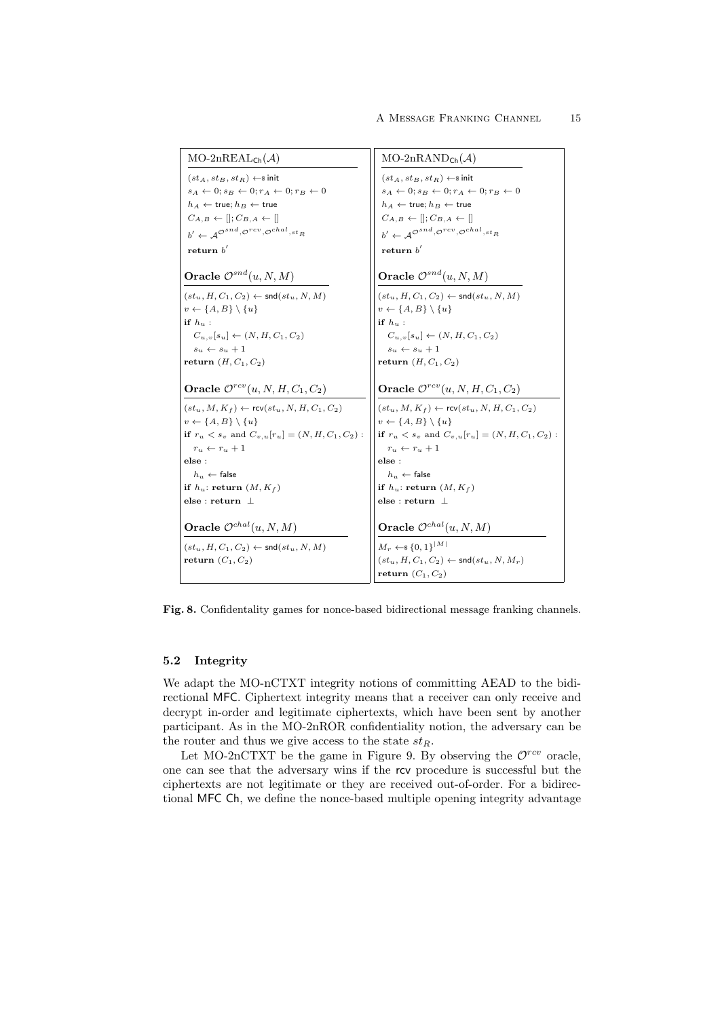

<span id="page-14-0"></span>Fig. 8. Confidentality games for nonce-based bidirectional message franking channels.

## 5.2 Integrity

We adapt the MO-nCTXT integrity notions of committing AEAD to the bidirectional MFC. Ciphertext integrity means that a receiver can only receive and decrypt in-order and legitimate ciphertexts, which have been sent by another participant. As in the MO-2nROR confidentiality notion, the adversary can be the router and thus we give access to the state  $st_R$ .

Let MO-2nCTXT be the game in Figure [9.](#page-15-0) By observing the  $\mathcal{O}^{rcv}$  oracle, one can see that the adversary wins if the rcv procedure is successful but the ciphertexts are not legitimate or they are received out-of-order. For a bidirectional MFC Ch, we define the nonce-based multiple opening integrity advantage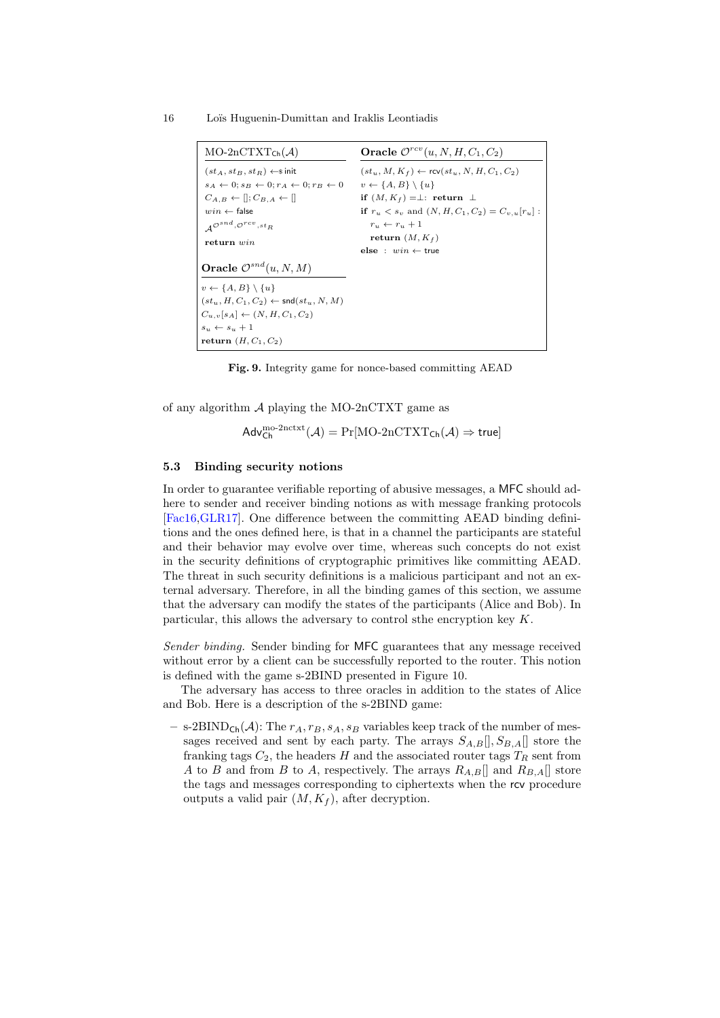16 Loïs Huguenin-Dumittan and Iraklis Leontiadis

| $MO-2nCTXT_{Ch}(\mathcal{A})$                                                                                                                                                                                                                                             | Oracle $\mathcal{O}^{rev}(u, N, H, C_1, C_2)$                                                                                                                                                                                                                                         |
|---------------------------------------------------------------------------------------------------------------------------------------------------------------------------------------------------------------------------------------------------------------------------|---------------------------------------------------------------------------------------------------------------------------------------------------------------------------------------------------------------------------------------------------------------------------------------|
| $(st_A, st_B, st_B) \leftarrow$ s init<br>$s_A \leftarrow 0$ ; $s_B \leftarrow 0$ ; $r_A \leftarrow 0$ ; $r_B \leftarrow 0$<br>$C_{A,B} \leftarrow   ; C_{B,A} \leftarrow   $<br>$win \leftarrow false$<br>$A^{\mathcal{O}^{snd}, \mathcal{O}^{rcv}, st}$<br>return $win$ | $(st_u, M, K_f) \leftarrow rev(st_u, N, H, C_1, C_2)$<br>$v \leftarrow \{A, B\} \setminus \{u\}$<br>if $(M, K_f) = \perp$ : return $\perp$<br>if $r_u < s_v$ and $(N, H, C_1, C_2) = C_{v,u}[r_u]$ :<br>$r_u \leftarrow r_u + 1$<br>return $(M, K_f)$<br>else : $win \leftarrow true$ |
| Oracle $\mathcal{O}^{snd}(u, N, M)$                                                                                                                                                                                                                                       |                                                                                                                                                                                                                                                                                       |
| $v \leftarrow \{A, B\} \setminus \{u\}$<br>$(st_u, H, C_1, C_2) \leftarrow \mathsf{snd}(st_u, N, M)$<br>$C_{u,v}[s_A] \leftarrow (N, H, C_1, C_2)$<br>$s_u \leftarrow s_u + 1$<br>return $(H, C_1, C_2)$                                                                  |                                                                                                                                                                                                                                                                                       |

<span id="page-15-0"></span>Fig. 9. Integrity game for nonce-based committing AEAD

of any algorithm  $\mathcal A$  playing the MO-2nCTXT game as

$$
\mathsf{Adv}^{\mathrm{mo\text{-}2nctxt}}_{\mathsf{Ch}}(\mathcal{A})=\Pr[\mathrm{MO\text{-}2nCTXT}_{\mathsf{Ch}}(\mathcal{A})\Rightarrow \mathsf{true}]
$$

### <span id="page-15-1"></span>5.3 Binding security notions

In order to guarantee verifiable reporting of abusive messages, a MFC should adhere to sender and receiver binding notions as with message franking protocols [\[Fac16,](#page-29-0)[GLR17\]](#page-29-1). One difference between the committing AEAD binding definitions and the ones defined here, is that in a channel the participants are stateful and their behavior may evolve over time, whereas such concepts do not exist in the security definitions of cryptographic primitives like committing AEAD. The threat in such security definitions is a malicious participant and not an external adversary. Therefore, in all the binding games of this section, we assume that the adversary can modify the states of the participants (Alice and Bob). In particular, this allows the adversary to control sthe encryption key K.

Sender binding. Sender binding for MFC guarantees that any message received without error by a client can be successfully reported to the router. This notion is defined with the game s-2BIND presented in Figure [10.](#page-16-0)

The adversary has access to three oracles in addition to the states of Alice and Bob. Here is a description of the s-2BIND game:

- s-2BIND<sub>Ch</sub>(A): The  $r_A, r_B, s_A, s_B$  variables keep track of the number of messages received and sent by each party. The arrays  $S_{A,B}[[, S_{B,A}]]$  store the franking tags  $C_2$ , the headers H and the associated router tags  $T_R$  sent from A to B and from B to A, respectively. The arrays  $R_{A,B}$  and  $R_{B,A}$  store the tags and messages corresponding to ciphertexts when the rcv procedure outputs a valid pair  $(M, K_f)$ , after decryption.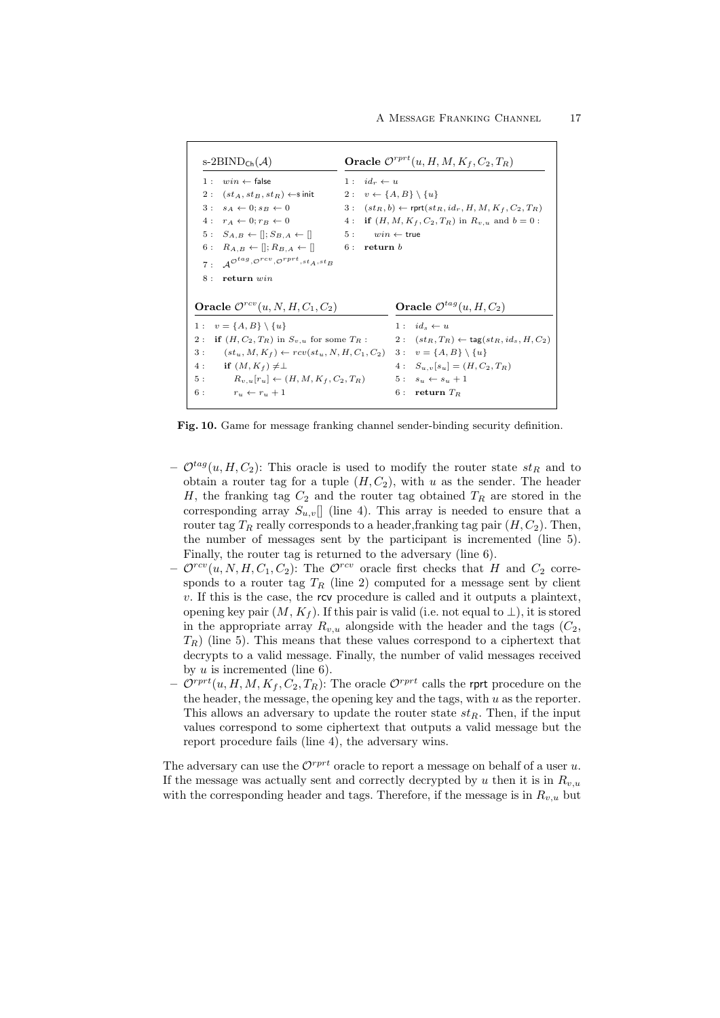| s-2BIND <sub>Ch</sub> $(\mathcal{A})$                                                 |  | Oracle $\mathcal{O}^{rprt}(u, H, M, K_f, C_2, T_R)$                   |  |
|---------------------------------------------------------------------------------------|--|-----------------------------------------------------------------------|--|
| 1 : $win \leftarrow false$                                                            |  | $1: id_r \leftarrow u$                                                |  |
| 2 : $(st_A, st_B, st_B) \leftarrow$ sinit                                             |  | 2: $v \leftarrow \{A, B\} \setminus \{u\}$                            |  |
| $3: s_A \leftarrow 0; s_B \leftarrow 0$                                               |  | $3: (st_B, b) \leftarrow \text{rpt}(st_B, id_r, H, M, K_f, C_2, T_B)$ |  |
| $4: r_A \leftarrow 0; r_B \leftarrow 0$                                               |  | 4: if $(H, M, K_f, C_2, T_R)$ in $R_{v,u}$ and $b = 0$ :              |  |
| $5: S_{A,B} \leftarrow \left[ \cdot, S_{B,A} \leftarrow \left[ \cdot \right] \right]$ |  | $5:$ $win \leftarrow true$                                            |  |
| 6: $R_{A,B} \leftarrow   ; R_{B,A} \leftarrow   $                                     |  | $6:$ return $b$                                                       |  |
| 7: $A^{\mathcal{O}^{tag}, \mathcal{O}^{rcv}, \mathcal{O}^{rprt}, st_A, st_B}$         |  |                                                                       |  |
| 8 :<br>return $win$                                                                   |  |                                                                       |  |
|                                                                                       |  |                                                                       |  |
| Oracle $\mathcal{O}^{rev}(u, N, H, C_1, C_2)$                                         |  | Oracle $\mathcal{O}^{tag}(u, H, C_2)$                                 |  |
| 1: $v = \{A, B\} \setminus \{u\}$                                                     |  | $1: id_s \leftarrow u$                                                |  |
| if $(H, C_2, T_R)$ in $S_{v,u}$ for some $T_R$ :<br>2:                                |  | 2: $(st_R, T_R) \leftarrow \text{tag}(st_R, id_s, H, C_2)$            |  |
| $(st_u, M, K_f) \leftarrow rev(st_u, N, H, C_1, C_2)$<br>3:                           |  | 3: $v = \{A, B\} \setminus \{u\}$                                     |  |
| if $(M, K_f) \neq \perp$<br>4:                                                        |  | 4: $S_{u,v}[s_u] = (H, C_2, T_R)$                                     |  |
| $R_{v,u}[r_u] \leftarrow (H, M, K_f, C_2, T_R)$<br>$5:$ $\blacksquare$                |  | $5: s_u \leftarrow s_u + 1$                                           |  |
| 6:<br>$r_u \leftarrow r_u + 1$                                                        |  | 6: return $T_R$                                                       |  |
|                                                                                       |  |                                                                       |  |

<span id="page-16-0"></span>Fig. 10. Game for message franking channel sender-binding security definition.

- $-\mathcal{O}^{tag}(u, H, C_2)$ : This oracle is used to modify the router state  $st_R$  and to obtain a router tag for a tuple  $(H, C_2)$ , with u as the sender. The header H, the franking tag  $C_2$  and the router tag obtained  $T_R$  are stored in the corresponding array  $S_{u,v}$ ] (line 4). This array is needed to ensure that a router tag  $T_R$  really corresponds to a header, franking tag pair  $(H, C_2)$ . Then, the number of messages sent by the participant is incremented (line 5). Finally, the router tag is returned to the adversary (line 6).
- $\mathcal{O}^{rcv}(u, N, H, C_1, C_2)$ : The  $\mathcal{O}^{rcv}$  oracle first checks that H and  $C_2$  corresponds to a router tag  $T_R$  (line 2) computed for a message sent by client  $v$ . If this is the case, the rcv procedure is called and it outputs a plaintext, opening key pair  $(M, K_f)$ . If this pair is valid (i.e. not equal to  $\perp$ ), it is stored in the appropriate array  $R_{v,u}$  alongside with the header and the tags  $(C_2,$  $T_R$ ) (line 5). This means that these values correspond to a ciphertext that decrypts to a valid message. Finally, the number of valid messages received by  $u$  is incremented (line 6).
- $\mathcal{O}^{rprt}(u, H, M, K_f, C_2, T_R)$ : The oracle  $\mathcal{O}^{rprt}$  calls the rprt procedure on the the header, the message, the opening key and the tags, with  $u$  as the reporter. This allows an adversary to update the router state  $st_R$ . Then, if the input values correspond to some ciphertext that outputs a valid message but the report procedure fails (line 4), the adversary wins.

The adversary can use the  $\mathcal{O}^{rpt}$  oracle to report a message on behalf of a user u. If the message was actually sent and correctly decrypted by u then it is in  $R_{v,u}$ with the corresponding header and tags. Therefore, if the message is in  $R_{v,u}$  but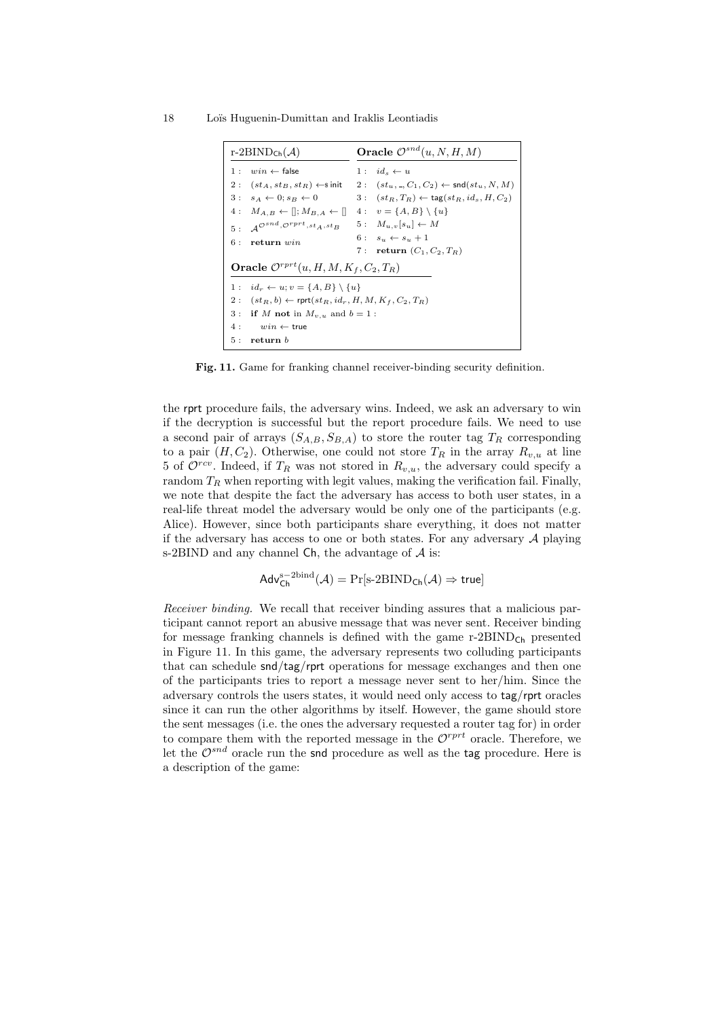18 Loïs Huguenin-Dumittan and Iraklis Leontiadis

| r-2BIND <sub>Ch</sub> $(\mathcal{A})$                                                 | Oracle $\mathcal{O}^{snd}(u, N, H, M)$                                                           |  |  |  |
|---------------------------------------------------------------------------------------|--------------------------------------------------------------------------------------------------|--|--|--|
| $win \leftarrow false$<br>1:                                                          | $1: id_s \leftarrow u$                                                                           |  |  |  |
|                                                                                       | 2: $(st_A, st_B, st_B) \leftarrow$ sinit 2: $(st_u, \_, C_1, C_2) \leftarrow$ snd $(st_u, N, M)$ |  |  |  |
| $3: s_A \leftarrow 0; s_B \leftarrow 0$                                               | $3: (st_R, T_R) \leftarrow \text{tag}(st_R, id_s, H, C_2)$                                       |  |  |  |
| 4: $M_{A,B} \leftarrow []$ ; $M_{B,A} \leftarrow []$ 4: $v = \{A,B\} \setminus \{u\}$ |                                                                                                  |  |  |  |
| $5: A^{\mathcal{O}^{snd}, \mathcal{O}^{rprt}, st_A, st_B}$                            | $5: M_{u,v}[s_u] \leftarrow M$                                                                   |  |  |  |
| 6:<br>return $win$                                                                    | $6: s_u \leftarrow s_u + 1$                                                                      |  |  |  |
|                                                                                       | 7: return $(C_1, C_2, T_R)$                                                                      |  |  |  |
| Oracle $\mathcal{O}^{rprt}(u, H, M, K_f, C_2, T_R)$                                   |                                                                                                  |  |  |  |
| 1: $id_r \leftarrow u; v = \{A, B\} \setminus \{u\}$                                  |                                                                                                  |  |  |  |
| 2: $(st_B, b) \leftarrow \text{rpt}(st_B, id_r, H, M, K_f, C_2, T_B)$                 |                                                                                                  |  |  |  |
| 3:                                                                                    | if M not in $M_{v,u}$ and $b=1$ :                                                                |  |  |  |
| 4:<br>$win \leftarrow true$                                                           |                                                                                                  |  |  |  |
| 5:<br>$_{\rm \bf return}$ $_{b}$                                                      |                                                                                                  |  |  |  |

<span id="page-17-0"></span>Fig. 11. Game for franking channel receiver-binding security definition.

the rprt procedure fails, the adversary wins. Indeed, we ask an adversary to win if the decryption is successful but the report procedure fails. We need to use a second pair of arrays  $(S_{A,B}, S_{B,A})$  to store the router tag  $T_R$  corresponding to a pair  $(H, C_2)$ . Otherwise, one could not store  $T_R$  in the array  $R_{v,u}$  at line 5 of  $\mathcal{O}^{rev}$ . Indeed, if  $T_R$  was not stored in  $R_{v,u}$ , the adversary could specify a random  $T_R$  when reporting with legit values, making the verification fail. Finally, we note that despite the fact the adversary has access to both user states, in a real-life threat model the adversary would be only one of the participants (e.g. Alice). However, since both participants share everything, it does not matter if the adversary has access to one or both states. For any adversary  $A$  playing s-2BIND and any channel  $\mathsf{Ch}$ , the advantage of  $\mathcal A$  is:

$$
\mathsf{Adv}^{\mathrm{s-2bind}}_{\mathsf{Ch}}(\mathcal{A}) = \Pr[\mathrm{s-2BIND}_{\mathsf{Ch}}(\mathcal{A}) \Rightarrow \mathsf{true}]
$$

Receiver binding. We recall that receiver binding assures that a malicious participant cannot report an abusive message that was never sent. Receiver binding for message franking channels is defined with the game  $r-2BIND_{Ch}$  presented in Figure [11.](#page-17-0) In this game, the adversary represents two colluding participants that can schedule snd/tag/rprt operations for message exchanges and then one of the participants tries to report a message never sent to her/him. Since the adversary controls the users states, it would need only access to tag/rprt oracles since it can run the other algorithms by itself. However, the game should store the sent messages (i.e. the ones the adversary requested a router tag for) in order to compare them with the reported message in the  $\mathcal{O}^{rpt}$  oracle. Therefore, we let the  $\mathcal{O}^{snd}$  oracle run the snd procedure as well as the tag procedure. Here is a description of the game: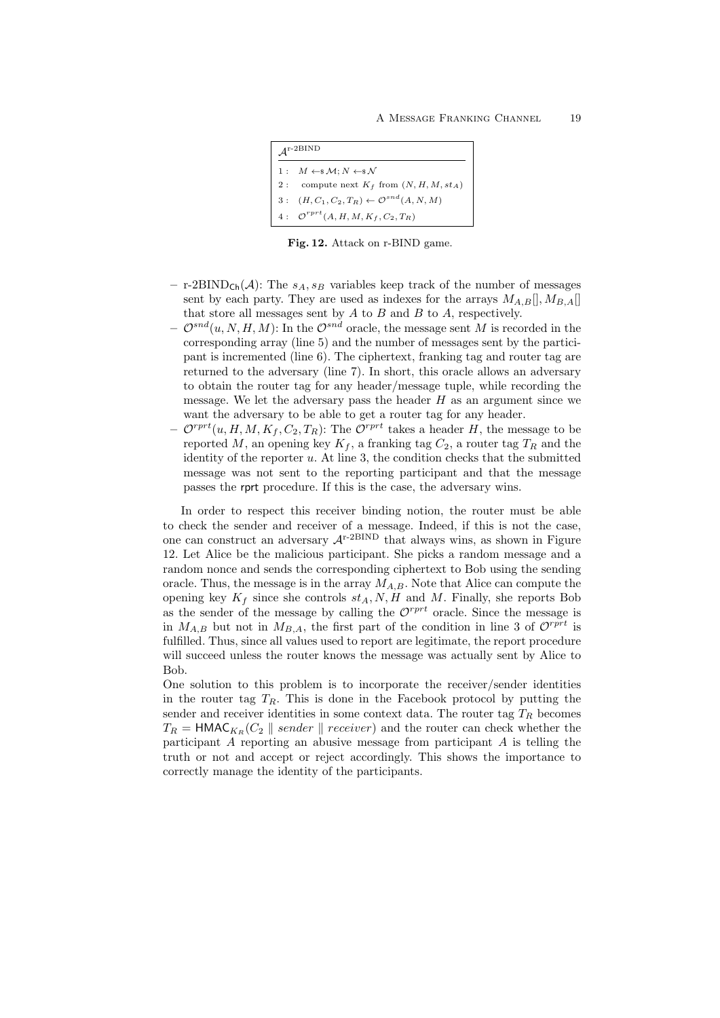| $\mathcal{A}^{\text{r-2BIND}}$                                                                  |
|-------------------------------------------------------------------------------------------------|
| $1: \quad M \leftarrow \!\! \mathbb{S}\ \mathcal{M}; N \leftarrow \!\! \mathbb{S}\ \mathcal{N}$ |
| 2: compute next $K_f$ from $(N, H, M, st_A)$                                                    |
| 3: $(H, C_1, C_2, T_R) \leftarrow \mathcal{O}^{snd}(A, N, M)$                                   |
| 4 : $\mathcal{O}^{rprt}(A, H, M, K_f, C_2, T_R)$                                                |

<span id="page-18-0"></span>Fig. 12. Attack on r-BIND game.

- r-2BIND<sub>Ch</sub>(A): The  $s_A$ ,  $s_B$  variables keep track of the number of messages sent by each party. They are used as indexes for the arrays  $M_{A,B}[[, M_{B,A}]]$ that store all messages sent by  $A$  to  $B$  and  $B$  to  $A$ , respectively.
- $\mathcal{O}^{snd}(u, N, H, M)$ : In the  $\mathcal{O}^{snd}$  oracle, the message sent M is recorded in the corresponding array (line 5) and the number of messages sent by the participant is incremented (line 6). The ciphertext, franking tag and router tag are returned to the adversary (line 7). In short, this oracle allows an adversary to obtain the router tag for any header/message tuple, while recording the message. We let the adversary pass the header  $H$  as an argument since we want the adversary to be able to get a router tag for any header.
- $\mathcal{O}^{rprt}(u, H, M, K_f, C_2, T_R)$ : The  $\mathcal{O}^{rprt}$  takes a header H, the message to be reported M, an opening key  $K_f$ , a franking tag  $C_2$ , a router tag  $T_R$  and the identity of the reporter  $u$ . At line 3, the condition checks that the submitted message was not sent to the reporting participant and that the message passes the rprt procedure. If this is the case, the adversary wins.

In order to respect this receiver binding notion, the router must be able to check the sender and receiver of a message. Indeed, if this is not the case, one can construct an adversary  $A^{r-2BIND}$  that always wins, as shown in Figure [12.](#page-18-0) Let Alice be the malicious participant. She picks a random message and a random nonce and sends the corresponding ciphertext to Bob using the sending oracle. Thus, the message is in the array  $M_{A,B}$ . Note that Alice can compute the opening key  $K_f$  since she controls  $st_A, N, H$  and M. Finally, she reports Bob as the sender of the message by calling the  $\mathcal{O}^{rpt}$  oracle. Since the message is in  $M_{A,B}$  but not in  $M_{B,A}$ , the first part of the condition in line 3 of  $\mathcal{O}^{rpt}$  is fulfilled. Thus, since all values used to report are legitimate, the report procedure will succeed unless the router knows the message was actually sent by Alice to Bob.

One solution to this problem is to incorporate the receiver/sender identities in the router tag  $T_R$ . This is done in the Facebook protocol by putting the sender and receiver identities in some context data. The router tag  $T_R$  becomes  $T_R = \text{HMAC}_{K_R}(C_2 \parallel sender \parallel receiver)$  and the router can check whether the participant A reporting an abusive message from participant A is telling the truth or not and accept or reject accordingly. This shows the importance to correctly manage the identity of the participants.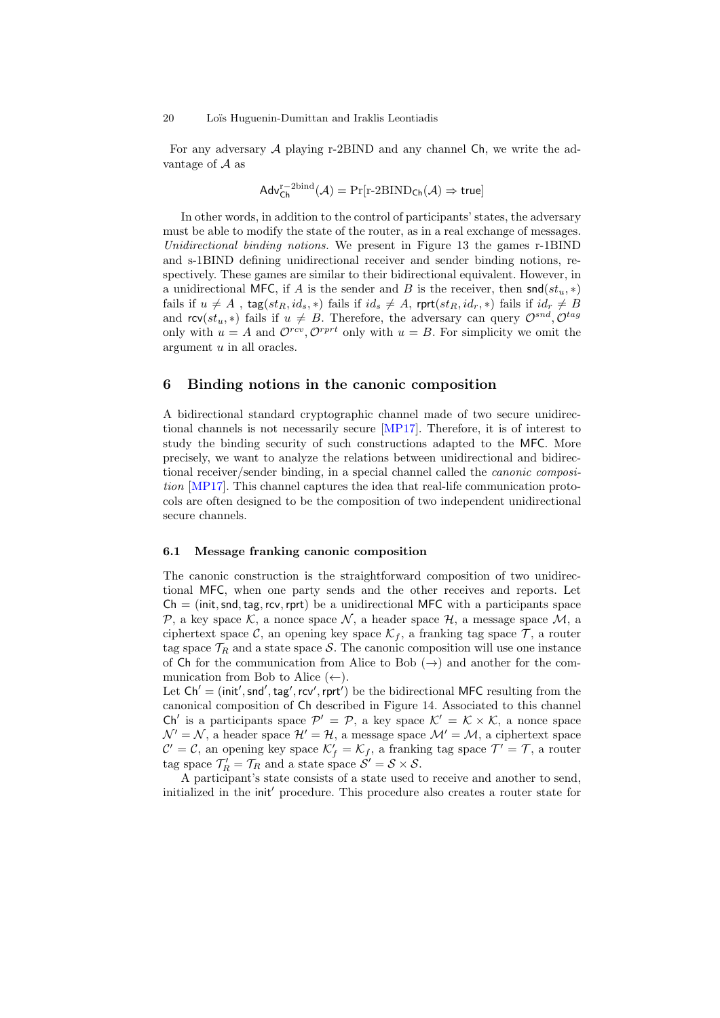For any adversary  $A$  playing r-2BIND and any channel  $Ch$ , we write the advantage of  $A$  as

$$
\mathsf{Adv}^{\mathrm{r-2bind}}_{\mathsf{Ch}}(\mathcal{A}) = \Pr[\mathrm{r\text{-}2BIND}_{\mathsf{Ch}}(\mathcal{A}) \Rightarrow \mathsf{true}]
$$

In other words, in addition to the control of participants' states, the adversary must be able to modify the state of the router, as in a real exchange of messages. Unidirectional binding notions. We present in Figure [13](#page-20-0) the games r-1BIND and s-1BIND defining unidirectional receiver and sender binding notions, respectively. These games are similar to their bidirectional equivalent. However, in a unidirectional MFC, if A is the sender and B is the receiver, then  $\text{snd}(st_u, *)$ fails if  $u \neq A$ , tag $(st_R, id_s, *)$  fails if  $id_s \neq A$ , rprt $(st_R, id_r, *)$  fails if  $id_r \neq B$ and  $\mathsf{rcv}(st_u,*)$  fails if  $u \neq B$ . Therefore, the adversary can query  $\mathcal{O}^{snd}, \mathcal{O}^{tag}$ only with  $u = A$  and  $\mathcal{O}^{rcv}, \mathcal{O}^{rprt}$  only with  $u = B$ . For simplicity we omit the argument u in all oracles.

## <span id="page-19-0"></span>6 Binding notions in the canonic composition

A bidirectional standard cryptographic channel made of two secure unidirectional channels is not necessarily secure [\[MP17\]](#page-29-6). Therefore, it is of interest to study the binding security of such constructions adapted to the MFC. More precisely, we want to analyze the relations between unidirectional and bidirectional receiver/sender binding, in a special channel called the canonic composition [\[MP17\]](#page-29-6). This channel captures the idea that real-life communication protocols are often designed to be the composition of two independent unidirectional secure channels.

### 6.1 Message franking canonic composition

The canonic construction is the straightforward composition of two unidirectional MFC, when one party sends and the other receives and reports. Let  $Ch = (init, \text{snd}, \text{tag}, \text{rort})$  be a unidirectional MFC with a participants space P, a key space K, a nonce space N, a header space H, a message space M, a ciphertext space C, an opening key space  $\mathcal{K}_f$ , a franking tag space  $\mathcal{T}$ , a router tag space  $\mathcal{T}_R$  and a state space S. The canonic composition will use one instance of Ch for the communication from Alice to Bob  $(\rightarrow)$  and another for the communication from Bob to Alice  $(\leftarrow)$ .

Let  $Ch' = (init', \text{snd}', \text{tag}', \text{rort}')$  be the bidirectional MFC resulting from the canonical composition of Ch described in Figure [14.](#page-21-0) Associated to this channel Ch' is a participants space  $\mathcal{P}' = \mathcal{P}$ , a key space  $\mathcal{K}' = \mathcal{K} \times \mathcal{K}$ , a nonce space  $\mathcal{N}' = \mathcal{N}$ , a header space  $\mathcal{H}' = \mathcal{H}$ , a message space  $\mathcal{M}' = \mathcal{M}$ , a ciphertext space  $\mathcal{C}' = \mathcal{C}$ , an opening key space  $\mathcal{K}'_f = \mathcal{K}_f$ , a franking tag space  $\mathcal{T}' = \mathcal{T}$ , a router tag space  $\mathcal{T}'_R = \mathcal{T}_R$  and a state space  $\mathcal{S}' = \mathcal{S} \times \mathcal{S}$ .

A participant's state consists of a state used to receive and another to send, initialized in the init' procedure. This procedure also creates a router state for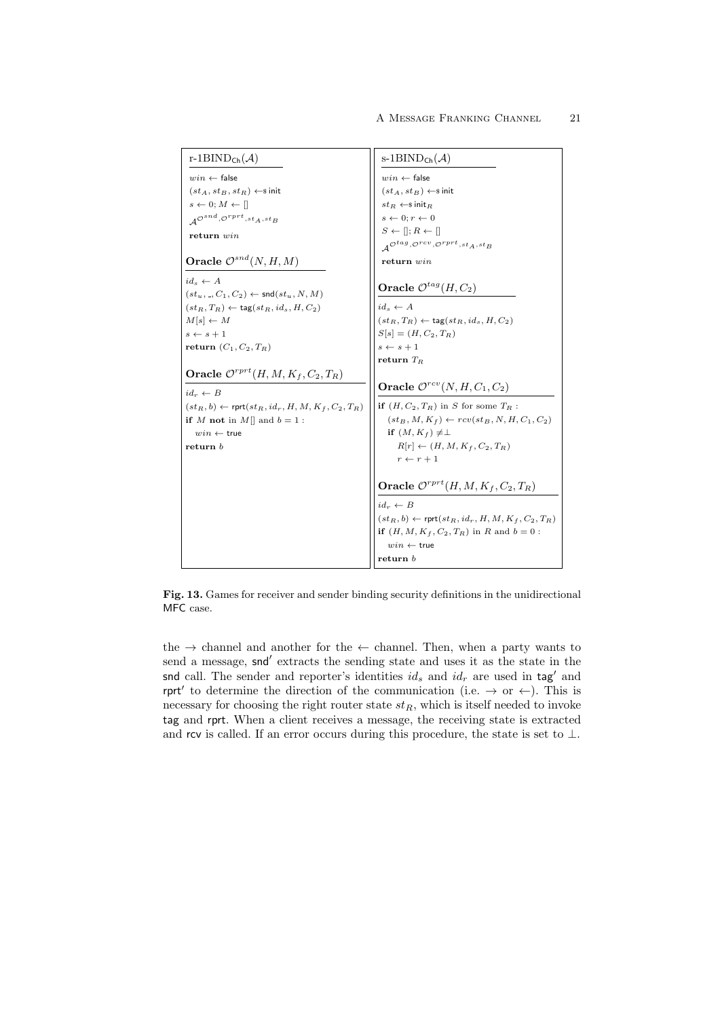

<span id="page-20-0"></span>Fig. 13. Games for receiver and sender binding security definitions in the unidirectional MFC case.

the  $\rightarrow$  channel and another for the  $\leftarrow$  channel. Then, when a party wants to send a message, snd' extracts the sending state and uses it as the state in the snd call. The sender and reporter's identities  $id_s$  and  $id_r$  are used in tag' and rprt' to determine the direction of the communication (i.e.  $\rightarrow$  or  $\leftarrow$ ). This is necessary for choosing the right router state  $st_R$ , which is itself needed to invoke tag and rprt. When a client receives a message, the receiving state is extracted and rcv is called. If an error occurs during this procedure, the state is set to  $\bot$ .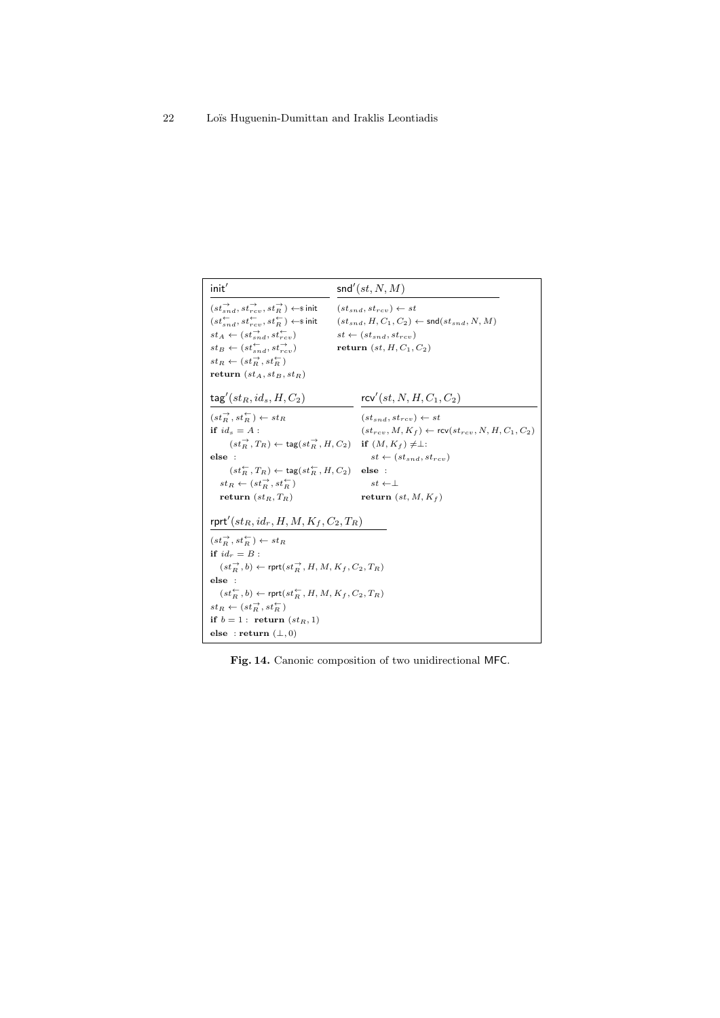| init'                                                                                                                                                                             | $\mathsf{snd}'(st, N, M)$                                                                               |  |  |
|-----------------------------------------------------------------------------------------------------------------------------------------------------------------------------------|---------------------------------------------------------------------------------------------------------|--|--|
| $(st_{end}^{\rightarrow}, st_{rcv}^{\rightarrow}, st_B^{\rightarrow}) \leftarrow$ init<br>$(st_{end}^{\leftarrow}, st_{con}^{\leftarrow}, st_{B}^{\leftarrow}) \leftarrow$ s init | $(st_{end}, st_{rcv}) \leftarrow st$<br>$(st_{snd}, H, C_1, C_2) \leftarrow \text{snd}(st_{snd}, N, M)$ |  |  |
| $st_A \leftarrow (st_{end}^{\rightarrow}, st_{con}^{\leftarrow})$                                                                                                                 | $st \leftarrow (st_{snd}, st_{rcv})$                                                                    |  |  |
| $st_B \leftarrow (st_{snd} \leftrightarrow st_{rcv} \rightarrow$                                                                                                                  | return $(st, H, C_1, C_2)$                                                                              |  |  |
| $st_R \leftarrow (st_R^{\rightarrow}, st_R^{\leftarrow})$                                                                                                                         |                                                                                                         |  |  |
| return $(st_A, st_B, st_R)$                                                                                                                                                       |                                                                                                         |  |  |
|                                                                                                                                                                                   |                                                                                                         |  |  |
| $\textsf{tag}'(st_R, id_s, H, C_2)$                                                                                                                                               | $rcv'(st, N, H, C_1, C_2)$                                                                              |  |  |
| $(st_{p}^{\rightarrow}, st_{p}^{\leftarrow}) \leftarrow st_{B}$                                                                                                                   | $(st_{end}, st_{rcv}) \leftarrow st$                                                                    |  |  |
| if $id_s = A$ :                                                                                                                                                                   | $(st_{rcv}, M, K_f) \leftarrow \text{rcv}(st_{rcv}, N, H, C_1, C_2)$                                    |  |  |
| $(st^{\rightarrow}_B, T_R) \leftarrow \text{tag}(st^{\rightarrow}_B, H, C_2)$ if $(M, K_f) \neq \perp$ :                                                                          |                                                                                                         |  |  |
| else                                                                                                                                                                              | $st \leftarrow (st_{snd}, st_{rcv})$                                                                    |  |  |
| $(st_B^{\leftarrow}, T_B) \leftarrow \text{tag}(st_B^{\leftarrow}, H, C_2)$                                                                                                       | $_{\rm else}$ :                                                                                         |  |  |
| $st_B \leftarrow (st_B^{\rightarrow}, st_B^{\leftarrow})$                                                                                                                         | $st \leftarrow \perp$                                                                                   |  |  |
| return $(st_R, T_R)$                                                                                                                                                              | return $(st, M, K_f)$                                                                                   |  |  |
| rprt'( $st_R$ , $id_r$ , $H$ , $M$ , $K_f$ , $C_2$ , $T_R$ )                                                                                                                      |                                                                                                         |  |  |
| $(st_P^{\rightarrow}, st_P^{\leftarrow}) \leftarrow st_R$                                                                                                                         |                                                                                                         |  |  |
| if $id_r = B$ :                                                                                                                                                                   |                                                                                                         |  |  |
| $(st_p^{\rightarrow}, b) \leftarrow \text{rprt}(st_p^{\rightarrow}, H, M, K_f, C_2, T_R)$                                                                                         |                                                                                                         |  |  |
| else :                                                                                                                                                                            |                                                                                                         |  |  |
| $(st_R^{\leftarrow}, b) \leftarrow \text{rprt}(st_R^{\leftarrow}, H, M, K_f, C_2, T_R)$                                                                                           |                                                                                                         |  |  |
| $st_R \leftarrow (st_R^{\rightarrow}, st_R^{\leftarrow})$                                                                                                                         |                                                                                                         |  |  |
| if $b=1$ : return $(st_R, 1)$                                                                                                                                                     |                                                                                                         |  |  |
| else : return $(\perp, 0)$                                                                                                                                                        |                                                                                                         |  |  |

<span id="page-21-0"></span>Fig. 14. Canonic composition of two unidirectional MFC.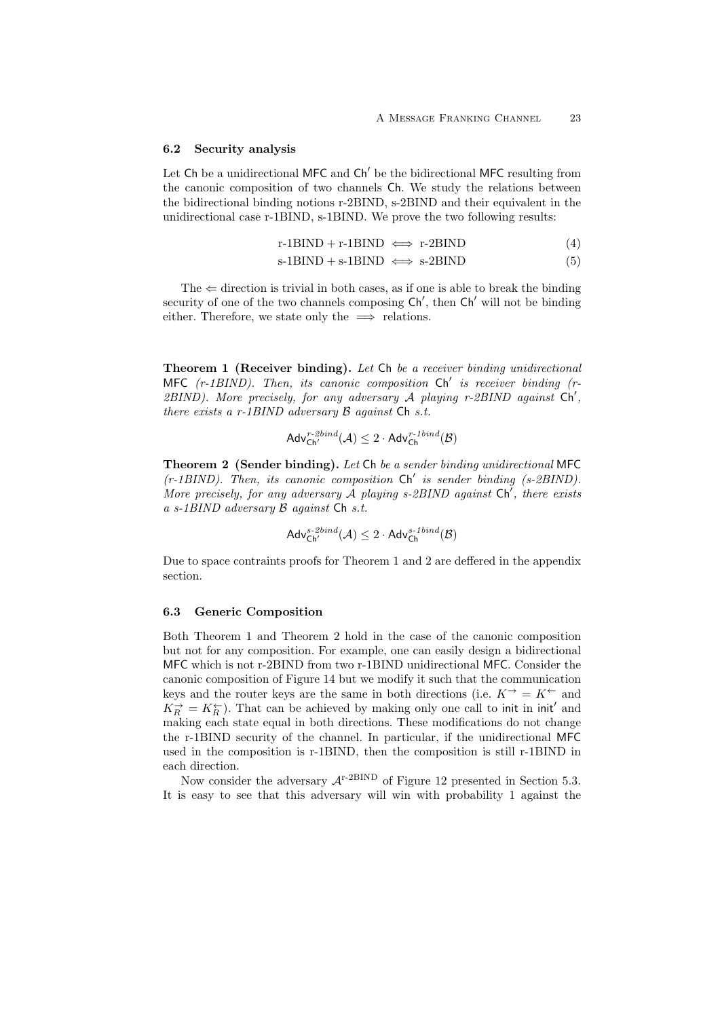### 6.2 Security analysis

Let Ch be a unidirectional MFC and Ch' be the bidirectional MFC resulting from the canonic composition of two channels Ch. We study the relations between the bidirectional binding notions r-2BIND, s-2BIND and their equivalent in the unidirectional case r-1BIND, s-1BIND. We prove the two following results:

$$
r\text{-}1\text{BIND} + r\text{-}1\text{BIND} \iff r\text{-}2\text{BIND} \tag{4}
$$

$$
s\text{-}1\text{BIND} + s\text{-}1\text{BIND} \iff s\text{-}2\text{BIND} \tag{5}
$$

The  $\Leftarrow$  direction is trivial in both cases, as if one is able to break the binding security of one of the two channels composing  $Ch'$ , then  $Ch'$  will not be binding either. Therefore, we state only the  $\implies$  relations.

Theorem 1 (Receiver binding). Let Ch be a receiver binding unidirectional MFC  $(r\text{-}1BIND)$ . Then, its canonic composition  $\mathsf{Ch}'$  is receiver binding (r- $2BIND$ ). More precisely, for any adversary  $A$  playing r-2BIND against  $Ch'$ , there exists a r-1BIND adversary  $\beta$  against Ch s.t.

$$
\mathsf{Adv}^{r\text{-}2bind}_{\mathsf{Ch}'}(\mathcal{A}) \leq 2\cdot \mathsf{Adv}^{r\text{-}1bind}_{\mathsf{Ch}}(\mathcal{B})
$$

Theorem 2 (Sender binding). Let Ch be a sender binding unidirectional MFC  $(r-1BIND)$ . Then, its canonic composition  $Ch'$  is sender binding (s-2BIND). More precisely, for any adversary  $\overline{A}$  playing s-2BIND against  $\overline{Ch'}$ , there exists a s-1BIND adversary B against Ch s.t.

$$
\mathsf{Adv}^{s\text{-}2bind}_{\mathsf{Ch}'}(\mathcal{A}) \leq 2\cdot \mathsf{Adv}^{s\text{-}1bind}_{\mathsf{Ch}}(\mathcal{B})
$$

Due to space contraints proofs for Theorem 1 and 2 are deffered in the appendix section.

### 6.3 Generic Composition

Both Theorem 1 and Theorem 2 hold in the case of the canonic composition but not for any composition. For example, one can easily design a bidirectional MFC which is not r-2BIND from two r-1BIND unidirectional MFC. Consider the canonic composition of Figure [14](#page-21-0) but we modify it such that the communication keys and the router keys are the same in both directions (i.e.  $K^{\rightarrow} = K^{\leftarrow}$  and  $K_R^{\rightarrow} = K_R^{\leftarrow}$ ). That can be achieved by making only one call to init in init' and making each state equal in both directions. These modifications do not change the r-1BIND security of the channel. In particular, if the unidirectional MFC used in the composition is r-1BIND, then the composition is still r-1BIND in each direction.

Now consider the adversary  $A^{r-2BIND}$  of Figure [12](#page-18-0) presented in Section [5.3.](#page-15-1) It is easy to see that this adversary will win with probability 1 against the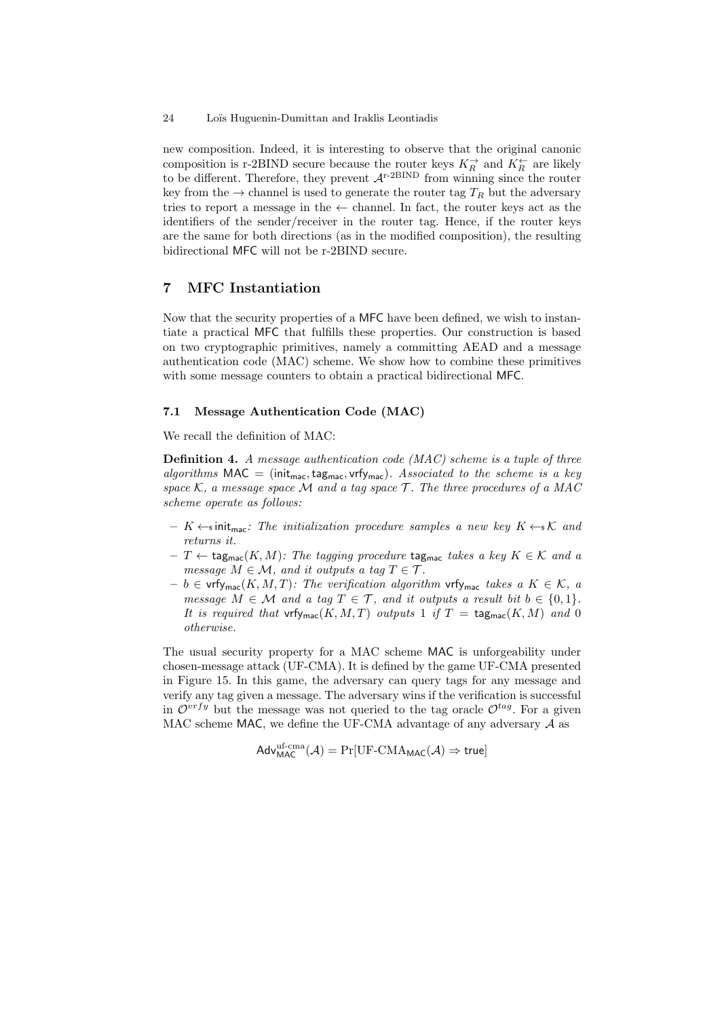new composition. Indeed, it is interesting to observe that the original canonic composition is r-2BIND secure because the router keys  $K_R^{\rightarrow}$  and  $K_R^{\leftarrow}$  are likely to be different. Therefore, they prevent  $A<sup>r-2BIND</sup>$  from winning since the router key from the  $\rightarrow$  channel is used to generate the router tag  $T_R$  but the adversary tries to report a message in the  $\leftarrow$  channel. In fact, the router keys act as the identifiers of the sender/receiver in the router tag. Hence, if the router keys are the same for both directions (as in the modified composition), the resulting bidirectional MFC will not be r-2BIND secure.

## <span id="page-23-0"></span>7 MFC Instantiation

Now that the security properties of a MFC have been defined, we wish to instantiate a practical MFC that fulfills these properties. Our construction is based on two cryptographic primitives, namely a committing AEAD and a message authentication code (MAC) scheme. We show how to combine these primitives with some message counters to obtain a practical bidirectional MFC.

## 7.1 Message Authentication Code (MAC)

We recall the definition of MAC:

**Definition 4.** A message authentication code (MAC) scheme is a tuple of three algorithms  $MAC = (init_{mac}, tag_{mac}, vrfy_{mac})$ . Associated to the scheme is a key space K, a message space M and a tag space  $\mathcal T$ . The three procedures of a MAC scheme operate as follows:

- K ← sinit<sub>mac</sub>: The initialization procedure samples a new key K ←  $K$  and returns it.
- $T \leftarrow \text{tag} (K, M)$ : The tagging procedure tag<sub>mac</sub> takes a key  $K \in \mathcal{K}$  and a message  $M \in \mathcal{M}$ , and it outputs a tag  $T \in \mathcal{T}$ .
- $b \in \text{vrfy}_{\text{mac}}(K, M, T)$ : The verification algorithm vrfy<sub>mac</sub> takes a  $K \in \mathcal{K}$ , a message  $M \in \mathcal{M}$  and a tag  $T \in \mathcal{T}$ , and it outputs a result bit  $b \in \{0,1\}$ . It is required that  $\text{vrfy}_{\text{mac}}(K, M, T)$  outputs 1 if  $T = \text{tag}_{\text{mac}}(K, M)$  and 0 otherwise.

The usual security property for a MAC scheme MAC is unforgeability under chosen-message attack (UF-CMA). It is defined by the game UF-CMA presented in Figure [15.](#page-24-0) In this game, the adversary can query tags for any message and verify any tag given a message. The adversary wins if the verification is successful in  $\mathcal{O}^{vrfy}$  but the message was not queried to the tag oracle  $\mathcal{O}^{tag}$ . For a given MAC scheme MAC, we define the UF-CMA advantage of any adversary  $A$  as

$$
\mathsf{Adv}_{\mathsf{MAC}}^{\mathrm{uf-cma}}(\mathcal{A}) = \Pr[\mathrm{UF\text{-}CMA}_{\mathsf{MAC}}(\mathcal{A}) \Rightarrow \mathsf{true}]
$$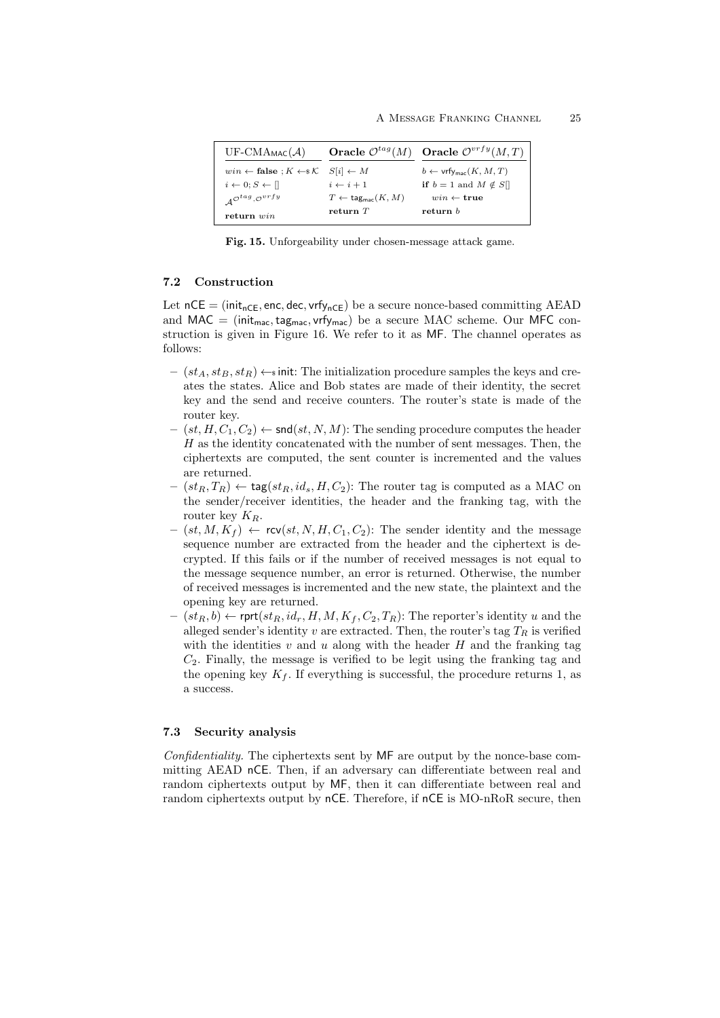| $UF\text{-}CMA_{MAC}(\mathcal{A})$                               |                                                            | Oracle $\mathcal{O}^{tag}(M)$ Oracle $\mathcal{O}^{vrfy}(M,T)$ |
|------------------------------------------------------------------|------------------------------------------------------------|----------------------------------------------------------------|
| $win \leftarrow false : K \leftarrow *K \quad S[i] \leftarrow M$ |                                                            | $b \leftarrow \mathsf{vrfv}_{\mathsf{mac}}(K, M, T)$           |
| $i \leftarrow 0; S \leftarrow []$                                | $i \leftarrow i + 1$                                       | if $b = 1$ and $M \notin S$                                    |
| $A^{\mathcal{O}^{tag}, \mathcal{O}^{vrfy}}$<br>return win        | $T \leftarrow \text{tag}_{\text{mac}}(K, M)$<br>return $T$ | $win \leftarrow true$<br>return b                              |

<span id="page-24-0"></span>Fig. 15. Unforgeability under chosen-message attack game.

## 7.2 Construction

Let  $nCE = (init_{nCE}, enc, dec, vrfy_{nCE})$  be a secure nonce-based committing AEAD and  $MAC = (init_{mac}, tag_{mac}, vrfy_{mac})$  be a secure MAC scheme. Our MFC construction is given in Figure [16.](#page-25-0) We refer to it as MF. The channel operates as follows:

- $-(st_A, st_B, st_R) \leftarrow$  init: The initialization procedure samples the keys and creates the states. Alice and Bob states are made of their identity, the secret key and the send and receive counters. The router's state is made of the router key.
- $(st, H, C_1, C_2) \leftarrow$  snd $(st, N, M)$ : The sending procedure computes the header H as the identity concatenated with the number of sent messages. Then, the ciphertexts are computed, the sent counter is incremented and the values are returned.
- $(st_R, T_R) \leftarrow \text{tag}(st_R, id_s, H, C_2)$ : The router tag is computed as a MAC on the sender/receiver identities, the header and the franking tag, with the router key  $K_R$ .
- $(st, M, K_f)$   $\leftarrow$  rcv $(st, N, H, C_1, C_2)$ : The sender identity and the message sequence number are extracted from the header and the ciphertext is decrypted. If this fails or if the number of received messages is not equal to the message sequence number, an error is returned. Otherwise, the number of received messages is incremented and the new state, the plaintext and the opening key are returned.
- $(st_R, b) \leftarrow \text{rpr}(st_R, id_r, H, M, K_f, C_2, T_R)$ : The reporter's identity u and the alleged sender's identity v are extracted. Then, the router's tag  $T_R$  is verified with the identities  $v$  and  $u$  along with the header  $H$  and the franking tag  $C_2$ . Finally, the message is verified to be legit using the franking tag and the opening key  $K_f$ . If everything is successful, the procedure returns 1, as a success.

## 7.3 Security analysis

Confidentiality. The ciphertexts sent by MF are output by the nonce-base committing AEAD nCE. Then, if an adversary can differentiate between real and random ciphertexts output by MF, then it can differentiate between real and random ciphertexts output by nCE. Therefore, if nCE is MO-nRoR secure, then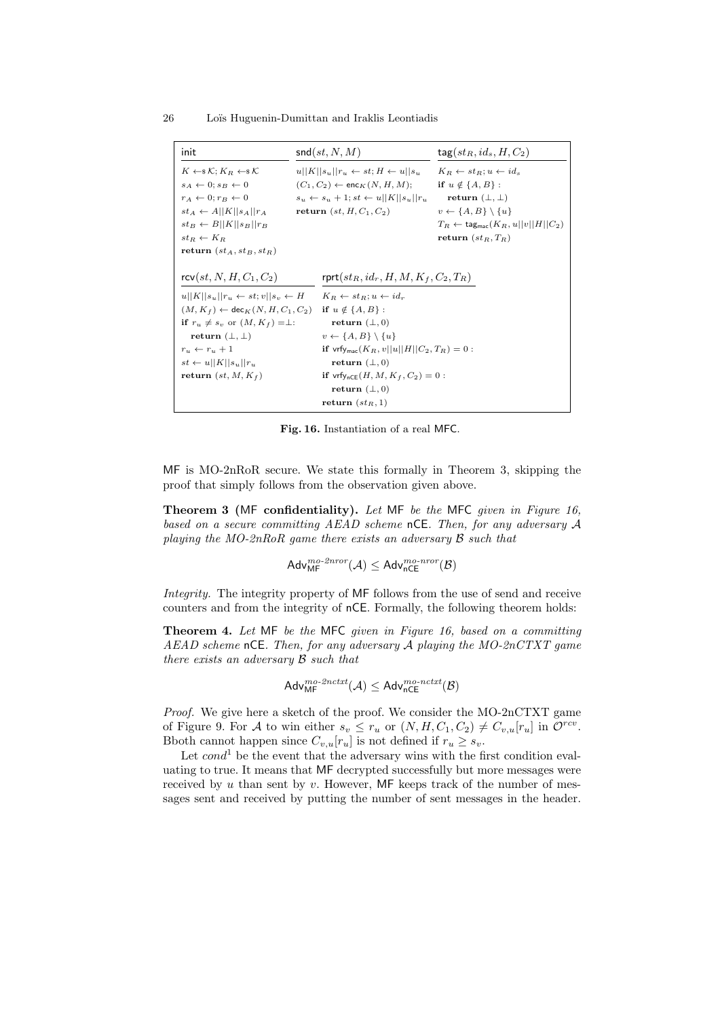26 Loïs Huguenin-Dumittan and Iraklis Leontiadis

| init                                                                                                                                                                                                                                                           | $\mathsf{snd}(st, N, M)$                                                                                                                                                                                                                                                                                                                                       | $tag(st_R, id_s, H, C_2)$                                                                                                                                                             |
|----------------------------------------------------------------------------------------------------------------------------------------------------------------------------------------------------------------------------------------------------------------|----------------------------------------------------------------------------------------------------------------------------------------------------------------------------------------------------------------------------------------------------------------------------------------------------------------------------------------------------------------|---------------------------------------------------------------------------------------------------------------------------------------------------------------------------------------|
| $K \leftarrow \& K: K_B \leftarrow \& K$<br>$s_A \leftarrow 0$ ; $s_B \leftarrow 0$<br>$r_A \leftarrow 0$ : $r_B \leftarrow 0$<br>$st_A \leftarrow A  K  s_A  r_A$<br>$st_B \leftarrow B  K  s_B  r_B$<br>$st_B \leftarrow K_B$<br>return $(st_A, st_B, st_R)$ | $u  K  s_u  r_u \leftarrow st; H \leftarrow u  s_u \quad K_R \leftarrow st_R; u \leftarrow id_s$<br>$(C_1, C_2) \leftarrow \mathsf{enc}_K(N, H, M);$<br>$s_u \leftarrow s_u + 1$ ; st $\leftarrow u  K  s_u  r_u$<br>return $(st, H, C_1, C_2)$                                                                                                                | if $u \notin \{A, B\}$ :<br>return $(\perp, \perp)$<br>$v \leftarrow \{A, B\} \setminus \{u\}$<br>$T_R \leftarrow \text{tag}_{\text{max}}(K_R, u  v  H  C_2)$<br>return $(st_R, T_R)$ |
| $rcv(st, N, H, C_1, C_2)$                                                                                                                                                                                                                                      | rprt $(st_R, id_r, H, M, K_f, C_2, T_R)$                                                                                                                                                                                                                                                                                                                       |                                                                                                                                                                                       |
| $(M, K_f) \leftarrow \text{dec}_K(N, H, C_1, C_2)$ if $u \notin \{A, B\}$ :<br>if $r_u \neq s_v$ or $(M, K_f) = \perp$ :<br>return $(\perp, \perp)$<br>$r_u \leftarrow r_u + 1$<br>$st \leftarrow u  K  s_u  r_u$<br>return $(st, M, K_f)$                     | $u  K  s_u  r_u \leftarrow st; v  s_v \leftarrow H$ $K_R \leftarrow st_R; u \leftarrow id_r$<br>return $(\perp, 0)$<br>$v \leftarrow \{A, B\} \setminus \{u\}$<br>if $\mathsf{vrfv}_{\text{mac}}(K_R, v  u  H  C_2, T_R) = 0$ :<br>return $(\perp, 0)$<br>if $\mathsf{vrfy}_{\mathsf{nCE}}(H, M, K_f, C_2) = 0$ :<br>return $(\perp, 0)$<br>return $(st_R, 1)$ |                                                                                                                                                                                       |

<span id="page-25-0"></span>Fig. 16. Instantiation of a real MFC.

MF is MO-2nRoR secure. We state this formally in Theorem [3,](#page-25-1) skipping the proof that simply follows from the observation given above.

<span id="page-25-1"></span>Theorem 3 (MF confidentiality). Let MF be the MFC given in Figure [16,](#page-25-0) based on a secure committing AEAD scheme nCE. Then, for any adversary A playing the MO-2nRoR game there exists an adversary B such that

$$
\mathsf{Adv}_{\mathsf{MF}}^{\mathit{mo-2nror}}(\mathcal{A}) \leq \mathsf{Adv}_{\mathsf{nCE}}^{\mathit{mo-nror}}(\mathcal{B})
$$

Integrity. The integrity property of MF follows from the use of send and receive counters and from the integrity of nCE. Formally, the following theorem holds:

Theorem 4. Let MF be the MFC given in Figure [16,](#page-25-0) based on a committing AEAD scheme  $nCE$ . Then, for any adversary A playing the MO-2nCTXT game there exists an adversary  $\beta$  such that

$$
\mathsf{Adv}_{\mathsf{MF}}^{\mathit{mo-2nctxt}}(\mathcal{A}) \leq \mathsf{Adv}_{\mathsf{nCE}}^{\mathit{mo-nctxt}}(\mathcal{B})
$$

Proof. We give here a sketch of the proof. We consider the MO-2nCTXT game of Figure [9.](#page-15-0) For A to win either  $s_v \leq r_u$  or  $(N, H, C_1, C_2) \neq C_{v,u}[r_u]$  in  $\mathcal{O}^{rcv}$ . Bboth cannot happen since  $C_{v,u}[r_u]$  is not defined if  $r_u \geq s_v$ .

Let  $cond<sup>1</sup>$  be the event that the adversary wins with the first condition evaluating to true. It means that MF decrypted successfully but more messages were received by  $u$  than sent by  $v$ . However, MF keeps track of the number of messages sent and received by putting the number of sent messages in the header.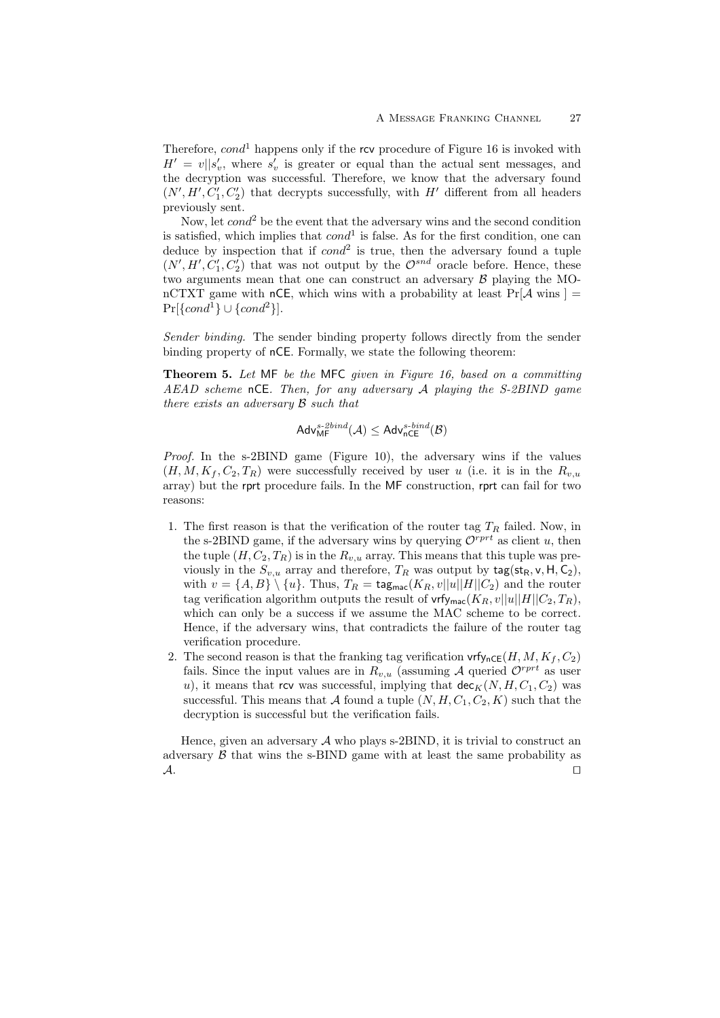Therefore,  $cond<sup>1</sup>$  happens only if the rcv procedure of Figure [16](#page-25-0) is invoked with  $H' = v||s'_{v}$ , where  $s'_{v}$  is greater or equal than the actual sent messages, and the decryption was successful. Therefore, we know that the adversary found  $(N', H', C'_1, C'_2)$  that decrypts successfully, with  $H'$  different from all headers previously sent.

Now, let  $cond<sup>2</sup>$  be the event that the adversary wins and the second condition is satisfied, which implies that  $cond<sup>1</sup>$  is false. As for the first condition, one can deduce by inspection that if  $cond<sup>2</sup>$  is true, then the adversary found a tuple  $(N', H', C'_1, C'_2)$  that was not output by the  $\mathcal{O}^{snd}$  oracle before. Hence, these two arguments mean that one can construct an adversary  $\beta$  playing the MOnCTXT game with nCE, which wins with a probability at least  $Pr[\mathcal{A}$  wins  $] =$  $Pr[\{cond^1\} \cup \{cond^2\}].$ 

Sender binding. The sender binding property follows directly from the sender binding property of nCE. Formally, we state the following theorem:

Theorem 5. Let MF be the MFC given in Figure [16,](#page-25-0) based on a committing AEAD scheme nCE. Then, for any adversary A playing the S-2BIND game there exists an adversary B such that

$$
\mathsf{Adv}_{\mathsf{MF}}^{s\text{-}\mathcal{B}bind}(\mathcal{A})\leq \mathsf{Adv}_{\mathsf{nCE}}^{s\text{-}\mathit{bind}}(\mathcal{B})
$$

Proof. In the s-2BIND game (Figure [10\)](#page-16-0), the adversary wins if the values  $(H, M, K_f, C_2, T_R)$  were successfully received by user u (i.e. it is in the  $R_{v,u}$ array) but the rprt procedure fails. In the MF construction, rprt can fail for two reasons:

- 1. The first reason is that the verification of the router tag  $T_R$  failed. Now, in the s-2BIND game, if the adversary wins by querying  $\mathcal{O}^{rprt}$  as client u, then the tuple  $(H, C_2, T_R)$  is in the  $R_{v,u}$  array. This means that this tuple was previously in the  $S_{v,u}$  array and therefore,  $T_R$  was output by tag(st<sub>R</sub>, v, H, C<sub>2</sub>), with  $v = \{A, B\} \setminus \{u\}$ . Thus,  $T_R = \text{tag}_{\text{mac}}(K_R, v||u||H||C_2)$  and the router tag verification algorithm outputs the result of  $\mathsf{vrfy}_{\mathsf{mac}}(K_R, v||u||H||C_2, T_R)$ , which can only be a success if we assume the MAC scheme to be correct. Hence, if the adversary wins, that contradicts the failure of the router tag verification procedure.
- 2. The second reason is that the franking tag verification  $\mathsf{vrfy}_\mathsf{nCE}(H, M, K_f, C_2)$ fails. Since the input values are in  $R_{v,u}$  (assuming A queried  $\mathcal{O}^{rprt}$  as user u), it means that rcv was successful, implying that  $\text{dec}_K(N, H, C_1, C_2)$  was successful. This means that A found a tuple  $(N, H, C_1, C_2, K)$  such that the decryption is successful but the verification fails.

Hence, given an adversary  $\mathcal A$  who plays s-2BIND, it is trivial to construct an adversary  $\beta$  that wins the s-BIND game with at least the same probability as  $\mathcal{A}.$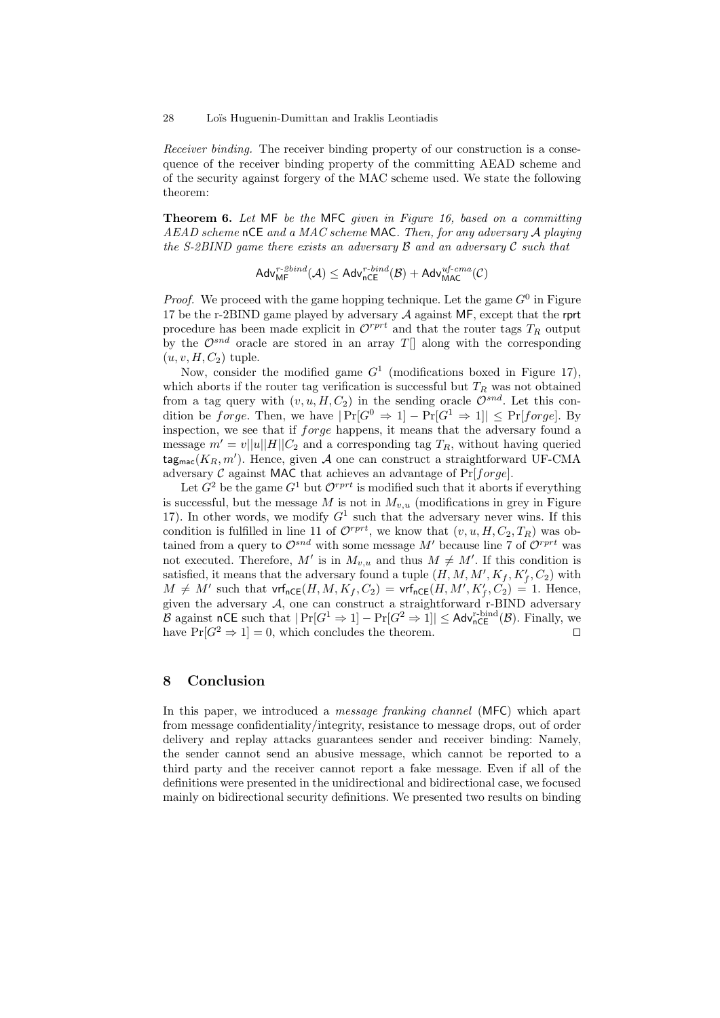Receiver binding. The receiver binding property of our construction is a consequence of the receiver binding property of the committing AEAD scheme and of the security against forgery of the MAC scheme used. We state the following theorem:

<span id="page-27-1"></span>Theorem 6. Let MF be the MFC given in Figure [16,](#page-25-0) based on a committing AEAD scheme nCE and a MAC scheme MAC. Then, for any adversary A playing the S-2BIND game there exists an adversary  $\beta$  and an adversary  $\beta$  such that

 $\mathsf{Adv}_{\mathsf{MF}}^{r\text{-}2bind}(\mathcal{A}) \leq \mathsf{Adv}_{\mathsf{nCE}}^{r\text{-}bind}(\mathcal{B}) + \mathsf{Adv}_{\mathsf{MAC}}^{uf\text{-}cma}(\mathcal{C})$ 

*Proof.* We proceed with the game hopping technique. Let the game  $G^0$  in Figure [17](#page-28-4) be the r-2BIND game played by adversary  $A$  against MF, except that the rprt procedure has been made explicit in  $\mathcal{O}^{rpt}$  and that the router tags  $T_R$  output by the  $\mathcal{O}^{snd}$  oracle are stored in an array  $T||$  along with the corresponding  $(u, v, H, C_2)$  tuple.

Now, consider the modified game  $G<sup>1</sup>$  (modifications boxed in Figure [17\)](#page-28-4), which aborts if the router tag verification is successful but  $T_R$  was not obtained from a tag query with  $(v, u, H, C_2)$  in the sending oracle  $\mathcal{O}^{snd}$ . Let this condition be *forge*. Then, we have  $|\Pr[G^0 \Rightarrow 1] - \Pr[G^1 \Rightarrow 1]| \leq \Pr[forget]$ . By inspection, we see that if forge happens, it means that the adversary found a message  $m' = v||u||H||C_2$  and a corresponding tag  $T_R$ , without having queried tag<sub>mac</sub>( $K_R$ , m'). Hence, given A one can construct a straightforward UF-CMA adversary  $C$  against MAC that achieves an advantage of  $Pr[forget].$ 

Let  $G^2$  be the game  $G^1$  but  $\mathcal{O}^{rprt}$  is modified such that it aborts if everything is successful, but the message M is not in  $M_{v,u}$  (modifications in grey in Figure [17\)](#page-28-4). In other words, we modify  $G<sup>1</sup>$  such that the adversary never wins. If this condition is fulfilled in line 11 of  $\mathcal{O}^{rpt}$ , we know that  $(v, u, H, C_2, T_R)$  was obtained from a query to  $\mathcal{O}^{snd}$  with some message M' because line 7 of  $\mathcal{O}^{rprt}$  was not executed. Therefore, M' is in  $M_{v,u}$  and thus  $M \neq M'$ . If this condition is satisfied, it means that the adversary found a tuple  $(H, M, M', K_f, K'_f, C_2)$  with  $M \neq M'$  such that  $\mathsf{vrf}_{\mathsf{nCE}}(H, M, K_f, C_2) = \mathsf{vrf}_{\mathsf{nCE}}(H, M', K'_f, C_2) = 1$ . Hence, given the adversary  $A$ , one can construct a straightforward  $r$ -BIND adversary B against nCE such that  $|\Pr[G^1 \Rightarrow 1] - \Pr[G^2 \Rightarrow 1]| \leq \mathsf{Adv}_{\mathsf{nCE}}^{\mathsf{r-bind}}(\mathcal{B})$ . Finally, we have  $Pr[G^2 \Rightarrow 1] = 0$ , which concludes the theorem.

## <span id="page-27-0"></span>8 Conclusion

In this paper, we introduced a *message franking channel* (MFC) which apart from message confidentiality/integrity, resistance to message drops, out of order delivery and replay attacks guarantees sender and receiver binding: Namely, the sender cannot send an abusive message, which cannot be reported to a third party and the receiver cannot report a fake message. Even if all of the definitions were presented in the unidirectional and bidirectional case, we focused mainly on bidirectional security definitions. We presented two results on binding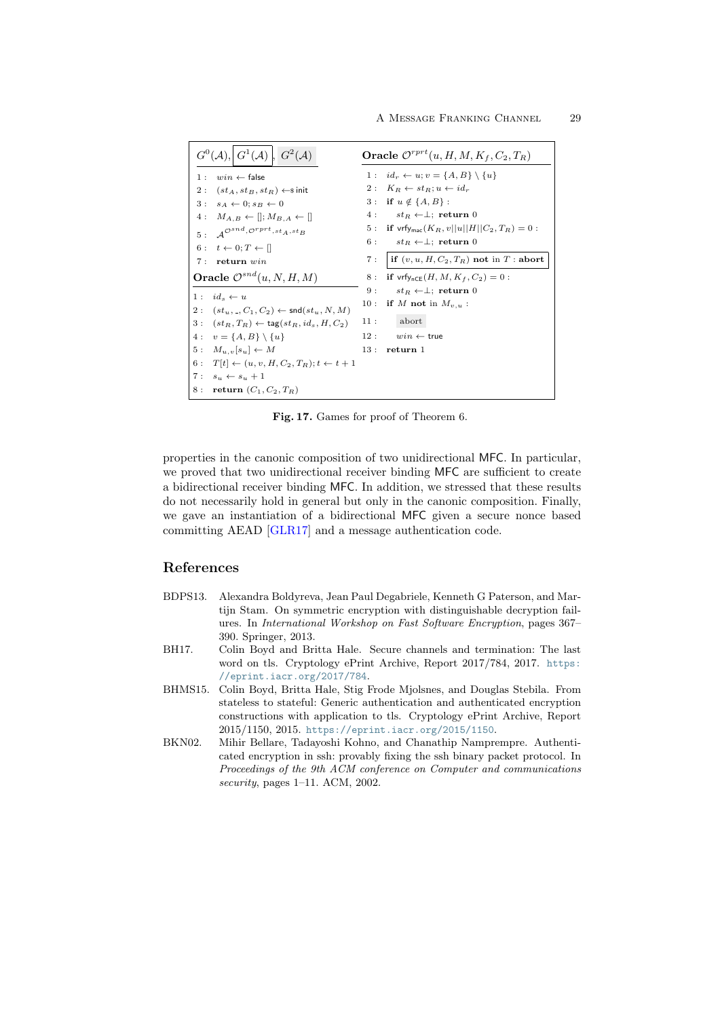| $G^0(\mathcal{A}), \left  G^1(\mathcal{A}) \right , G^2(\mathcal{A})$                 | Oracle $\mathcal{O}^{rprt}(u, H, M, K_f, C_2, T_R)$            |
|---------------------------------------------------------------------------------------|----------------------------------------------------------------|
| 1 : $win \leftarrow false$                                                            | 1: $id_r \leftarrow u; v = \{A, B\} \setminus \{u\}$           |
| 2: $(st_A, st_B, st_B) \leftarrow$ sinit                                              | 2: $K_B \leftarrow st_B$ ; $u \leftarrow id_r$                 |
| $3: s_A \leftarrow 0: s_B \leftarrow 0$                                               | 3: if $u \notin \{A, B\}$ :                                    |
| 4: $M_{A,B} \leftarrow \left[ \cdot \right], M_{B,A} \leftarrow \left[ \cdot \right]$ | 4: $st_R \leftarrow \perp$ ; return 0                          |
| $5: A^{\mathcal{O}^{snd}, \mathcal{O}^{rprt}, st_A, st_B}$                            | 5: if $\text{vrfy}_{\text{mac}}(K_R, v  u  H  C_2, T_R) = 0$ : |
| $6: t \leftarrow 0; T \leftarrow []$                                                  | 6: $st_R \leftarrow \perp$ ; return 0                          |
| $7:$ return $win$                                                                     | 7:   if $(v, u, H, C_2, T_R)$ not in T : abort                 |
| Oracle $\mathcal{O}^{snd}(u, N, H, M)$                                                | 8: if $\mathsf{vrfv}_{\mathsf{nCF}}(H, M, K_f, C_2) = 0$ :     |
| $1: id_s \leftarrow u$                                                                | $st_R \leftarrow \perp$ ; return 0<br>9:                       |
| 2: $(st_1, , C_1, C_2) \leftarrow \text{snd}(st_1, N, M)$                             | 10: if M not in $M_{v,u}$ :                                    |
| $3: (st_B, T_B) \leftarrow \text{tag}(st_B, id_s, H, C_2)$                            | abort<br>11:                                                   |
| 4: $v = \{A, B\} \setminus \{u\}$                                                     | $win \leftarrow \mathsf{true}$<br>12:                          |
| $5: M_{u,v}[s_u] \leftarrow M$                                                        | $13:$ return 1                                                 |
| 6: $T[t] \leftarrow (u, v, H, C_2, T_R); t \leftarrow t + 1$                          |                                                                |
| $7: s_u \leftarrow s_u + 1$                                                           |                                                                |
| 8: return $(C_1, C_2, T_R)$                                                           |                                                                |

<span id="page-28-4"></span>Fig. 17. Games for proof of Theorem [6.](#page-27-1)

properties in the canonic composition of two unidirectional MFC. In particular, we proved that two unidirectional receiver binding MFC are sufficient to create a bidirectional receiver binding MFC. In addition, we stressed that these results do not necessarily hold in general but only in the canonic composition. Finally, we gave an instantiation of a bidirectional MFC given a secure nonce based committing AEAD [\[GLR17\]](#page-29-1) and a message authentication code.

## References

- <span id="page-28-3"></span>BDPS13. Alexandra Boldyreva, Jean Paul Degabriele, Kenneth G Paterson, and Martijn Stam. On symmetric encryption with distinguishable decryption failures. In International Workshop on Fast Software Encryption, pages 367– 390. Springer, 2013.
- <span id="page-28-2"></span>BH17. Colin Boyd and Britta Hale. Secure channels and termination: The last word on tls. Cryptology ePrint Archive, Report 2017/784, 2017. [https:](https://eprint.iacr.org/2017/784) [//eprint.iacr.org/2017/784](https://eprint.iacr.org/2017/784).
- <span id="page-28-1"></span>BHMS15. Colin Boyd, Britta Hale, Stig Frode Mjolsnes, and Douglas Stebila. From stateless to stateful: Generic authentication and authenticated encryption constructions with application to tls. Cryptology ePrint Archive, Report 2015/1150, 2015. <https://eprint.iacr.org/2015/1150>.
- <span id="page-28-0"></span>BKN02. Mihir Bellare, Tadayoshi Kohno, and Chanathip Namprempre. Authenticated encryption in ssh: provably fixing the ssh binary packet protocol. In Proceedings of the 9th ACM conference on Computer and communications security, pages 1–11. ACM, 2002.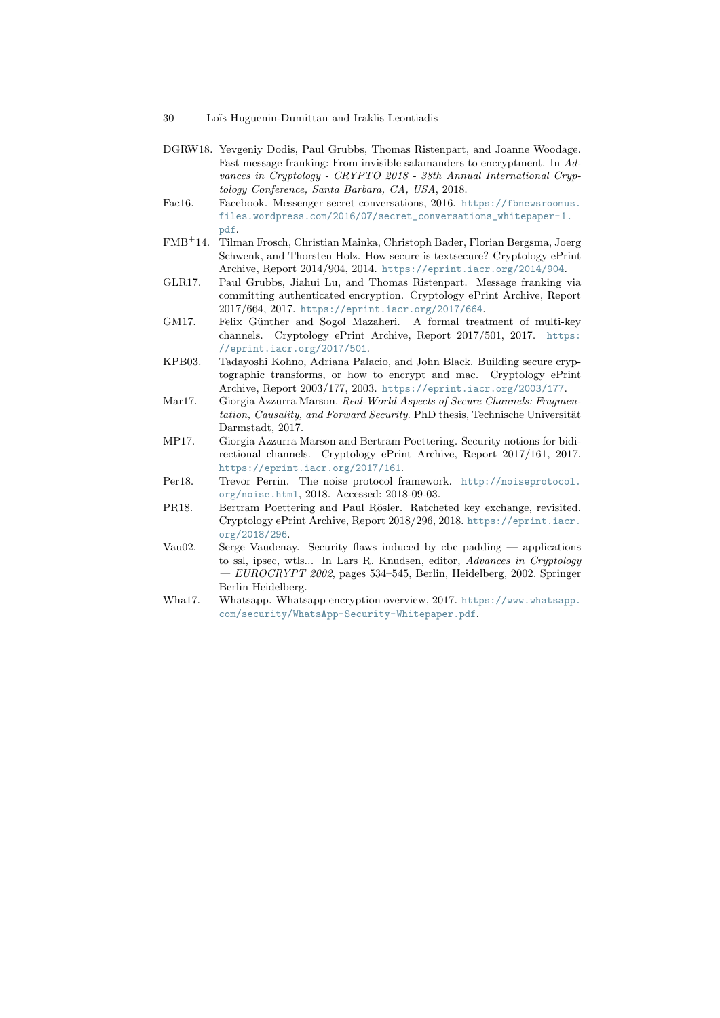- 30 Lo¨ıs Huguenin-Dumittan and Iraklis Leontiadis
- <span id="page-29-2"></span>DGRW18. Yevgeniy Dodis, Paul Grubbs, Thomas Ristenpart, and Joanne Woodage. Fast message franking: From invisible salamanders to encryptment. In Advances in Cryptology - CRYPTO 2018 - 38th Annual International Cryptology Conference, Santa Barbara, CA, USA, 2018.
- <span id="page-29-0"></span>Fac16. Facebook. Messenger secret conversations, 2016. [https://fbnewsroomus.](https://fbnewsroomus.files.wordpress.com/2016/07/secret_conversations_whitepaper-1.pdf) [files.wordpress.com/2016/07/secret\\_conversations\\_whitepaper-1.](https://fbnewsroomus.files.wordpress.com/2016/07/secret_conversations_whitepaper-1.pdf) [pdf](https://fbnewsroomus.files.wordpress.com/2016/07/secret_conversations_whitepaper-1.pdf).
- <span id="page-29-9"></span>FMB<sup>+</sup>14. Tilman Frosch, Christian Mainka, Christoph Bader, Florian Bergsma, Joerg Schwenk, and Thorsten Holz. How secure is textsecure? Cryptology ePrint Archive, Report 2014/904, 2014. <https://eprint.iacr.org/2014/904>.
- <span id="page-29-1"></span>GLR17. Paul Grubbs, Jiahui Lu, and Thomas Ristenpart. Message franking via committing authenticated encryption. Cryptology ePrint Archive, Report 2017/664, 2017. <https://eprint.iacr.org/2017/664>.
- <span id="page-29-7"></span>GM17. Felix Günther and Sogol Mazaheri. A formal treatment of multi-key channels. Cryptology ePrint Archive, Report 2017/501, 2017. [https:](https://eprint.iacr.org/2017/501) [//eprint.iacr.org/2017/501](https://eprint.iacr.org/2017/501).
- <span id="page-29-3"></span>KPB03. Tadayoshi Kohno, Adriana Palacio, and John Black. Building secure cryptographic transforms, or how to encrypt and mac. Cryptology ePrint Archive, Report 2003/177, 2003. <https://eprint.iacr.org/2003/177>.
- <span id="page-29-4"></span>Mar17. Giorgia Azzurra Marson. Real-World Aspects of Secure Channels: Fragmentation, Causality, and Forward Security. PhD thesis, Technische Universität Darmstadt, 2017.
- <span id="page-29-6"></span>MP17. Giorgia Azzurra Marson and Bertram Poettering. Security notions for bidirectional channels. Cryptology ePrint Archive, Report 2017/161, 2017. <https://eprint.iacr.org/2017/161>.
- <span id="page-29-10"></span>Per18. Trevor Perrin. The noise protocol framework. [http://noiseprotocol.](http://noiseprotocol.org/noise.html) [org/noise.html](http://noiseprotocol.org/noise.html), 2018. Accessed: 2018-09-03.
- <span id="page-29-5"></span>PR18. Bertram Poettering and Paul Rösler. Ratcheted key exchange, revisited. Cryptology ePrint Archive, Report 2018/296, 2018. [https://eprint.iacr.](https://eprint.iacr.org/2018/296) [org/2018/296](https://eprint.iacr.org/2018/296).
- <span id="page-29-8"></span>Vau02. Serge Vaudenay. Security flaws induced by cbc padding — applications to ssl, ipsec, wtls... In Lars R. Knudsen, editor, Advances in Cryptology  $-$  EUROCRYPT 2002, pages 534–545, Berlin, Heidelberg, 2002. Springer Berlin Heidelberg.
- <span id="page-29-11"></span>Wha17. Whatsapp. Whatsapp encryption overview, 2017. [https://www.whatsapp.](https://www.whatsapp.com/security/WhatsApp-Security-Whitepaper.pdf) [com/security/WhatsApp-Security-Whitepaper.pdf](https://www.whatsapp.com/security/WhatsApp-Security-Whitepaper.pdf).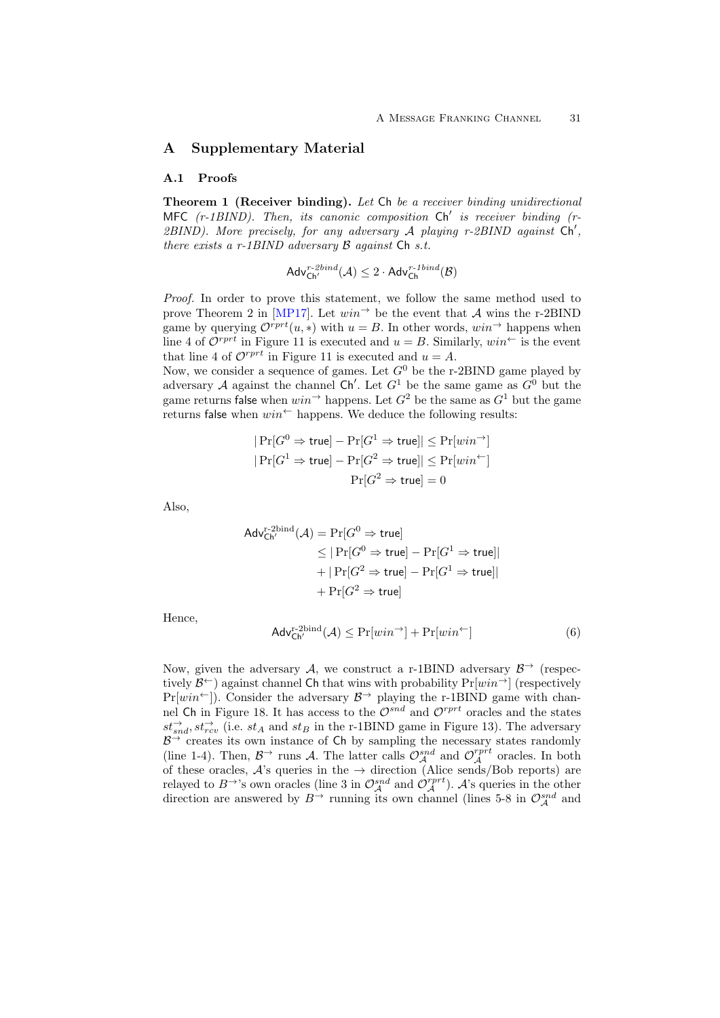## A Supplementary Material

## A.1 Proofs

Theorem 1 (Receiver binding). Let Ch be a receiver binding unidirectional MFC  $(r\text{-}1BIND)$ . Then, its canonic composition  $Ch'$  is receiver binding (r- $2BIND$ ). More precisely, for any adversary  $A$  playing r-2BIND against  $Ch'$ , there exists a r-1BIND adversary  $\beta$  against  $\zeta$ h s.t.

$$
\mathsf{Adv}_{\mathsf{Ch}}^{r\text{-}\mathsf{2}bind}(\mathcal{A})\leq 2\cdot \mathsf{Adv}_{\mathsf{Ch}}^{r\text{-}\mathsf{1}bind}(\mathcal{B})
$$

Proof. In order to prove this statement, we follow the same method used to prove Theorem 2 in [\[MP17\]](#page-29-6). Let  $win^{\rightarrow}$  be the event that A wins the r-2BIND game by querying  $\mathcal{O}^{rprt}(u,*)$  with  $u = B$ . In other words,  $win^{\rightarrow}$  happens when line 4 of  $\mathcal{O}^{rprt}$  in Figure [11](#page-17-0) is executed and  $u = B$ . Similarly,  $win^{\leftarrow}$  is the event that line 4 of  $\mathcal{O}^{rprt}$  in Figure [11](#page-17-0) is executed and  $u = A$ .

Now, we consider a sequence of games. Let  $G^0$  be the r-2BIND game played by adversary A against the channel  $\mathsf{Ch}'$ . Let  $G^1$  be the same game as  $G^0$  but the game returns false when  $win^{\rightarrow}$  happens. Let  $G^2$  be the same as  $G^1$  but the game returns false when  $win^{\leftarrow}$  happens. We deduce the following results:

$$
|\Pr[G^0 \Rightarrow \text{true}] - \Pr[G^1 \Rightarrow \text{true}]| \le \Pr[win^{\rightarrow}]
$$

$$
|\Pr[G^1 \Rightarrow \text{true}] - \Pr[G^2 \Rightarrow \text{true}]| \le \Pr[win^{\leftarrow}]
$$

$$
\Pr[G^2 \Rightarrow \text{true}] = 0
$$

Also,

$$
Adv_{Ch'}^{r-2bind}(\mathcal{A}) = \Pr[G^0 \Rightarrow true]
$$
  
\n
$$
\leq |\Pr[G^0 \Rightarrow true] - \Pr[G^1 \Rightarrow true]|
$$
  
\n
$$
+ |\Pr[G^2 \Rightarrow true] - \Pr[G^1 \Rightarrow true]|
$$
  
\n
$$
+ \Pr[G^2 \Rightarrow true]
$$

Hence,

<span id="page-30-0"></span>
$$
\mathsf{Adv}_{\mathsf{Ch}'}^{\text{r-2bind}}(\mathcal{A}) \le \Pr[win^{-1}] + \Pr[win^{\leftarrow}] \tag{6}
$$

Now, given the adversary A, we construct a r-1BIND adversary  $\mathcal{B}^{\rightarrow}$  (respectively  $\mathcal{B}^{\leftarrow}$ ) against channel Ch that wins with probability Pr[ $win^{\rightarrow}$ ] (respectively  $Pr[win\textsuperscript{-}]$ . Consider the adversary  $\mathcal{B}$   $\rightarrow$  playing the r-1BIND game with chan-nel Ch in Figure [18.](#page-32-0) It has access to the  $\overrightarrow{O}^{snd}$  and  $\overrightarrow{O}^{rpt}$  oracles and the states  $st_{snd}^{\rightarrow} , st_{rcv}^{\rightarrow}$  (i.e.  $st_A$  and  $st_B$  in the r-1BIND game in Figure [13\)](#page-20-0). The adversary  $\beta$ <sup>→</sup> creates its own instance of Ch by sampling the necessary states randomly (line 1-4). Then,  $\mathcal{B}^{\rightarrow}$  runs A. The latter calls  $\mathcal{O}_{\mathcal{A}}^{snd}$  and  $\mathcal{O}_{\mathcal{A}}^{rprt}$  oracles. In both of these oracles,  $A$ 's queries in the  $\rightarrow$  direction (Alice sends/Bob reports) are relayed to  $B\rightarrow$ 's own oracles (line 3 in  $\mathcal{O}_{\mathcal{A}}^{snd}$  and  $\mathcal{O}_{\mathcal{A}}^{rprt}$ ). A's queries in the other direction are answered by  $B^{\rightarrow}$  running its own channel (lines 5-8 in  $\mathcal{O}_{\mathcal{A}}^{snd}$  and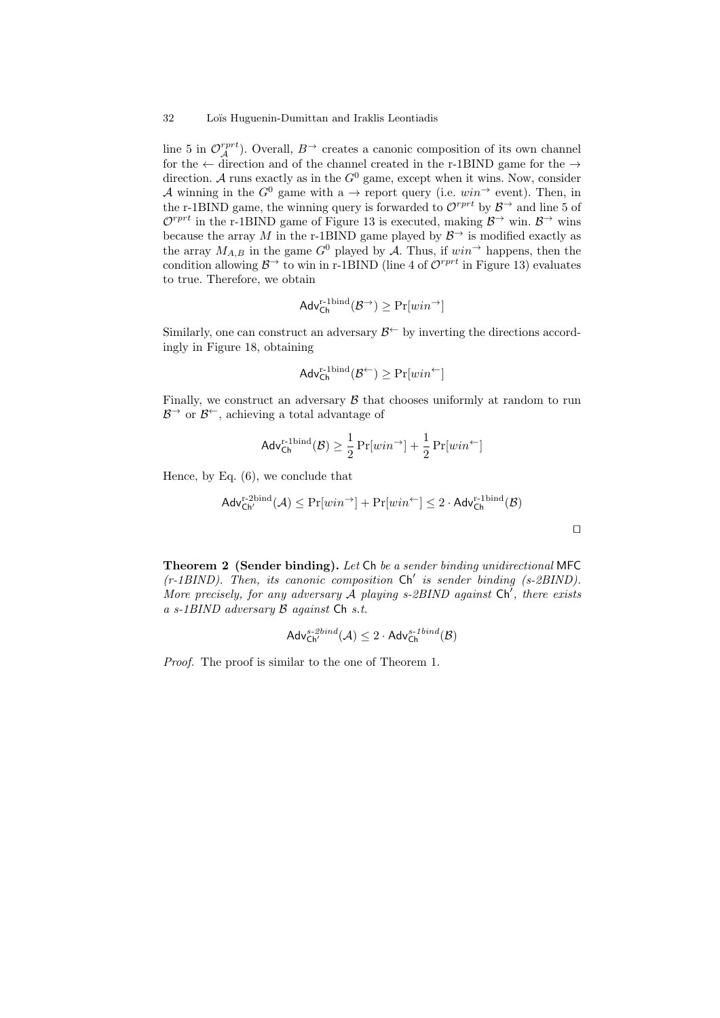line 5 in  $\mathcal{O}_{\mathcal{A}}^{rprt}$ ). Overall,  $B^{\to}$  creates a canonic composition of its own channel for the  $\leftarrow$  direction and of the channel created in the r-1BIND game for the  $\rightarrow$ direction. A runs exactly as in the  $G^0$  game, except when it wins. Now, consider A winning in the  $G^0$  game with a  $\rightarrow$  report query (i.e.  $win^{\rightarrow}$  event). Then, in the r-1BIND game, the winning query is forwarded to  $\mathcal{O}^{rpt}$  by  $\mathcal{B}^{\rightarrow}$  and line 5 of  $\mathcal{O}^{rprt}$  in the r-1BIND game of Figure [13](#page-20-0) is executed, making  $\mathcal{B}^{\rightarrow}$  win.  $\mathcal{B}^{\rightarrow}$  wins because the array M in the r-1BIND game played by  $\mathcal{B}^{\rightarrow}$  is modified exactly as the array  $M_{A,B}$  in the game  $G^0$  played by  $\mathcal A$ . Thus, if  $win^{\rightarrow}$  happens, then the condition allowing  $\mathcal{B}^{\rightarrow}$  to win in r-1BIND (line 4 of  $\mathcal{O}^{rprt}$  in Figure [13\)](#page-20-0) evaluates to true. Therefore, we obtain

$$
\mathsf{Adv}^{\mathrm{r-1bind}}_{\mathsf{Ch}}(\mathcal{B}^\rightarrow) \geq \Pr[\mathit{win}^\rightarrow]
$$

Similarly, one can construct an adversary  $\mathcal{B}^{\leftarrow}$  by inverting the directions accordingly in Figure [18,](#page-32-0) obtaining

$$
\mathsf{Adv}^{\mathrm{r-1bind}}_{\mathsf{Ch}}(\mathcal{B}^{\leftarrow}) \geq \Pr[\mathit{win}^{\leftarrow}]
$$

Finally, we construct an adversary  $\beta$  that chooses uniformly at random to run  $\mathcal{B}^{\rightarrow}$  or  $\mathcal{B}^{\leftarrow}$ , achieving a total advantage of

$$
Adv_{\mathsf{Ch}}^{\text{r-1bind}}(\mathcal{B}) \ge \frac{1}{2} \Pr[win^{\rightarrow}] + \frac{1}{2} \Pr[win^{\leftarrow}]
$$

Hence, by Eq. [\(6\)](#page-30-0), we conclude that

$$
\mathsf{Adv}^{\mathrm{r-2bind}}_{\mathsf{Ch}'}(\mathcal{A}) \leq \Pr[win^{\to}] + \Pr[win^{\leftarrow}] \leq 2 \cdot \mathsf{Adv}^{\mathrm{r-1bind}}_{\mathsf{Ch}}(\mathcal{B})
$$

 $\Box$ 

Theorem 2 (Sender binding). Let Ch be a sender binding unidirectional MFC  $(r-1BIND)$ . Then, its canonic composition  $Ch'$  is sender binding (s-2BIND). More precisely, for any adversary  $\overline{A}$  playing s-2BIND against  $\overline{Ch'}$ , there exists a s-1BIND adversary B against Ch s.t.

$$
\mathsf{Adv}^{s\text{-}2bind}_{\mathsf{Ch}'}(\mathcal{A}) \leq 2\cdot \mathsf{Adv}^{s\text{-}1bind}_{\mathsf{Ch}}(\mathcal{B})
$$

Proof. The proof is similar to the one of Theorem 1.